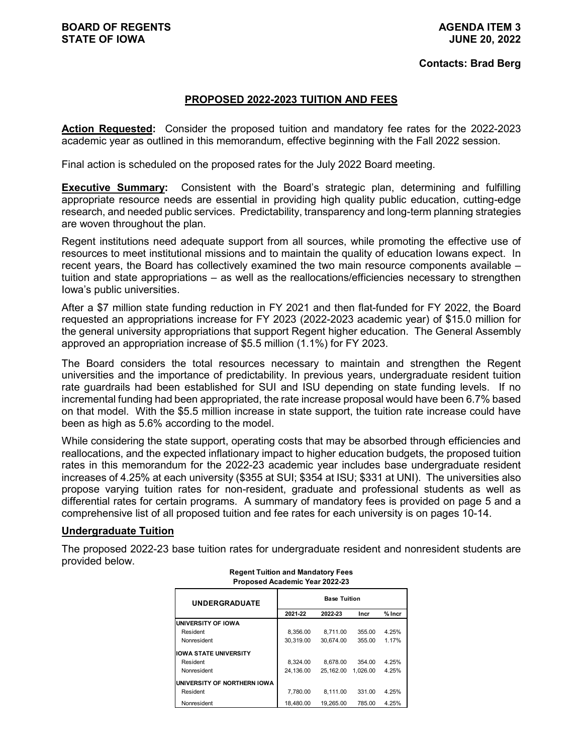### **PROPOSED 2022-2023 TUITION AND FEES**

**Action Requested:** Consider the proposed tuition and mandatory fee rates for the 2022-2023 academic year as outlined in this memorandum, effective beginning with the Fall 2022 session.

Final action is scheduled on the proposed rates for the July 2022 Board meeting.

**Executive Summary:** Consistent with the Board's strategic plan, determining and fulfilling appropriate resource needs are essential in providing high quality public education, cutting-edge research, and needed public services. Predictability, transparency and long-term planning strategies are woven throughout the plan.

Regent institutions need adequate support from all sources, while promoting the effective use of resources to meet institutional missions and to maintain the quality of education Iowans expect. In recent years, the Board has collectively examined the two main resource components available – tuition and state appropriations – as well as the reallocations/efficiencies necessary to strengthen Iowa's public universities.

After a \$7 million state funding reduction in FY 2021 and then flat-funded for FY 2022, the Board requested an appropriations increase for FY 2023 (2022-2023 academic year) of \$15.0 million for the general university appropriations that support Regent higher education. The General Assembly approved an appropriation increase of \$5.5 million (1.1%) for FY 2023.

The Board considers the total resources necessary to maintain and strengthen the Regent universities and the importance of predictability. In previous years, undergraduate resident tuition rate guardrails had been established for SUI and ISU depending on state funding levels. If no incremental funding had been appropriated, the rate increase proposal would have been 6.7% based on that model. With the \$5.5 million increase in state support, the tuition rate increase could have been as high as 5.6% according to the model.

While considering the state support, operating costs that may be absorbed through efficiencies and reallocations, and the expected inflationary impact to higher education budgets, the proposed tuition rates in this memorandum for the 2022-23 academic year includes base undergraduate resident increases of 4.25% at each university (\$355 at SUI; \$354 at ISU; \$331 at UNI). The universities also propose varying tuition rates for non-resident, graduate and professional students as well as differential rates for certain programs. A summary of mandatory fees is provided on page 5 and a comprehensive list of all proposed tuition and fee rates for each university is on pages 10-14.

### **Undergraduate Tuition**

The proposed 2022-23 base tuition rates for undergraduate resident and nonresident students are provided below.

| <b>UNDERGRADUATE</b>         | <b>Base Tuition</b> |           |          |          |  |  |  |  |  |  |  |
|------------------------------|---------------------|-----------|----------|----------|--|--|--|--|--|--|--|
|                              | 2021-22             | 2022-23   | Incr     | $%$ Incr |  |  |  |  |  |  |  |
| UNIVERSITY OF IOWA           |                     |           |          |          |  |  |  |  |  |  |  |
| Resident                     | 8.356.00            | 8.711.00  | 355.00   | 4.25%    |  |  |  |  |  |  |  |
| Nonresident                  | 30.319.00           | 30.674.00 | 355.00   | 1.17%    |  |  |  |  |  |  |  |
| <b>IOWA STATE UNIVERSITY</b> |                     |           |          |          |  |  |  |  |  |  |  |
| Resident                     | 8.324.00            | 8.678.00  | 354.00   | 4.25%    |  |  |  |  |  |  |  |
| Nonresident                  | 24.136.00           | 25.162.00 | 1.026.00 | 4.25%    |  |  |  |  |  |  |  |
| UNIVERSITY OF NORTHERN IOWA  |                     |           |          |          |  |  |  |  |  |  |  |
| Resident                     | 7.780.00            | 8.111.00  | 331.00   | 4.25%    |  |  |  |  |  |  |  |
| Nonresident                  | 18.480.00           | 19.265.00 | 785.00   | 4.25%    |  |  |  |  |  |  |  |

#### **Regent Tuition and Mandatory Fees Proposed Academic Year 2022-23**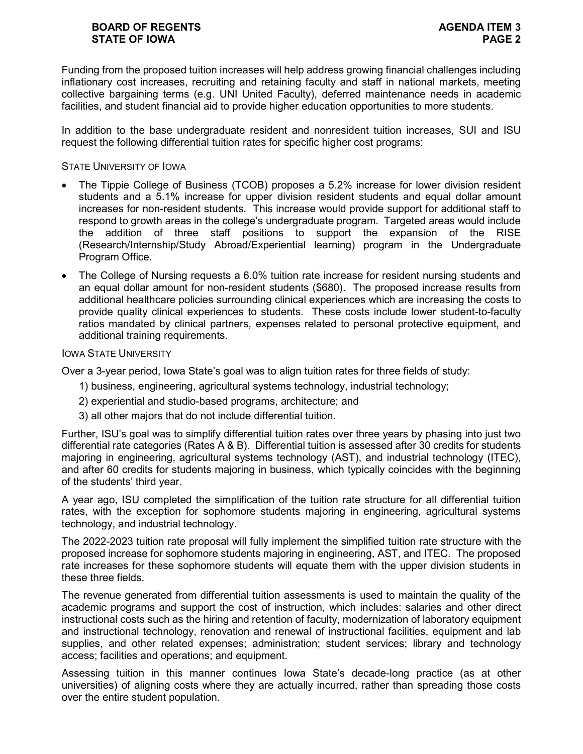## **BOARD OF REGENTS AGENDA ITEM 3 STATE OF IOWA PAGE 2**

Funding from the proposed tuition increases will help address growing financial challenges including inflationary cost increases, recruiting and retaining faculty and staff in national markets, meeting collective bargaining terms (e.g. UNI United Faculty), deferred maintenance needs in academic facilities, and student financial aid to provide higher education opportunities to more students.

In addition to the base undergraduate resident and nonresident tuition increases, SUI and ISU request the following differential tuition rates for specific higher cost programs:

STATE UNIVERSITY OF IOWA

- The Tippie College of Business (TCOB) proposes a 5.2% increase for lower division resident students and a 5.1% increase for upper division resident students and equal dollar amount increases for non-resident students. This increase would provide support for additional staff to respond to growth areas in the college's undergraduate program. Targeted areas would include the addition of three staff positions to support the expansion of the RISE (Research/Internship/Study Abroad/Experiential learning) program in the Undergraduate Program Office.
- The College of Nursing requests a 6.0% tuition rate increase for resident nursing students and an equal dollar amount for non-resident students (\$680). The proposed increase results from additional healthcare policies surrounding clinical experiences which are increasing the costs to provide quality clinical experiences to students. These costs include lower student-to-faculty ratios mandated by clinical partners, expenses related to personal protective equipment, and additional training requirements.

#### IOWA STATE UNIVERSITY

Over a 3-year period, Iowa State's goal was to align tuition rates for three fields of study:

- 1) business, engineering, agricultural systems technology, industrial technology;
- 2) experiential and studio-based programs, architecture; and
- 3) all other majors that do not include differential tuition.

Further, ISU's goal was to simplify differential tuition rates over three years by phasing into just two differential rate categories (Rates A & B). Differential tuition is assessed after 30 credits for students majoring in engineering, agricultural systems technology (AST), and industrial technology (ITEC), and after 60 credits for students majoring in business, which typically coincides with the beginning of the students' third year.

A year ago, ISU completed the simplification of the tuition rate structure for all differential tuition rates, with the exception for sophomore students majoring in engineering, agricultural systems technology, and industrial technology.

The 2022-2023 tuition rate proposal will fully implement the simplified tuition rate structure with the proposed increase for sophomore students majoring in engineering, AST, and ITEC. The proposed rate increases for these sophomore students will equate them with the upper division students in these three fields.

The revenue generated from differential tuition assessments is used to maintain the quality of the academic programs and support the cost of instruction, which includes: salaries and other direct instructional costs such as the hiring and retention of faculty, modernization of laboratory equipment and instructional technology, renovation and renewal of instructional facilities, equipment and lab supplies, and other related expenses; administration; student services; library and technology access; facilities and operations; and equipment.

Assessing tuition in this manner continues Iowa State's decade-long practice (as at other universities) of aligning costs where they are actually incurred, rather than spreading those costs over the entire student population.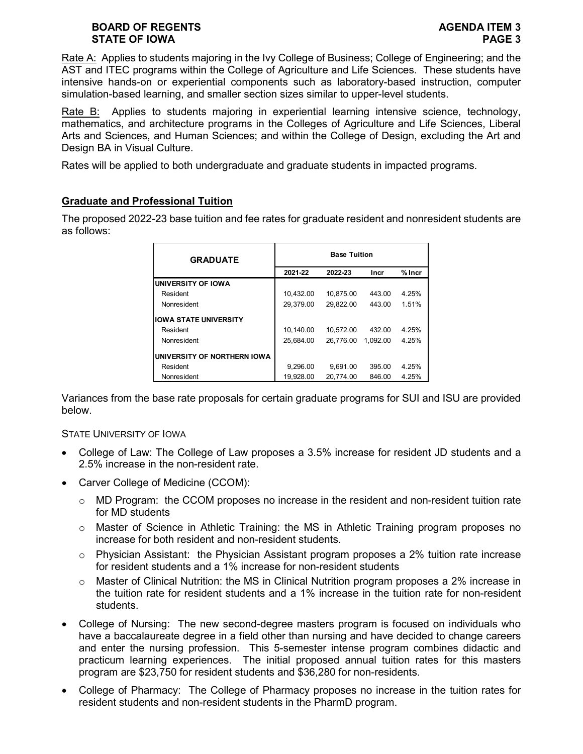## **BOARD OF REGENTS AGENDA ITEM 3 STATE OF IOWA PAGE 3**

Rate A: Applies to students majoring in the Ivy College of Business; College of Engineering; and the AST and ITEC programs within the College of Agriculture and Life Sciences. These students have intensive hands-on or experiential components such as laboratory-based instruction, computer simulation-based learning, and smaller section sizes similar to upper-level students.

Rate B: Applies to students majoring in experiential learning intensive science, technology, mathematics, and architecture programs in the Colleges of Agriculture and Life Sciences, Liberal Arts and Sciences, and Human Sciences; and within the College of Design, excluding the Art and Design BA in Visual Culture.

Rates will be applied to both undergraduate and graduate students in impacted programs.

## **Graduate and Professional Tuition**

The proposed 2022-23 base tuition and fee rates for graduate resident and nonresident students are as follows:

| <b>GRADUATE</b>              | <b>Base Tuition</b> |           |          |          |  |  |  |  |  |  |  |
|------------------------------|---------------------|-----------|----------|----------|--|--|--|--|--|--|--|
|                              | 2021-22             | 2022-23   | Incr     | $%$ Incr |  |  |  |  |  |  |  |
| <b>UNIVERSITY OF IOWA</b>    |                     |           |          |          |  |  |  |  |  |  |  |
| Resident                     | 10,432.00           | 10.875.00 | 443.00   | 4.25%    |  |  |  |  |  |  |  |
| Nonresident                  | 29,379.00           | 29.822.00 | 443.00   | 1.51%    |  |  |  |  |  |  |  |
| <b>IOWA STATE UNIVERSITY</b> |                     |           |          |          |  |  |  |  |  |  |  |
| Resident                     | 10,140.00           | 10.572.00 | 432.00   | 4.25%    |  |  |  |  |  |  |  |
| Nonresident                  | 25.684.00           | 26.776.00 | 1.092.00 | 4.25%    |  |  |  |  |  |  |  |
| UNIVERSITY OF NORTHERN IOWA  |                     |           |          |          |  |  |  |  |  |  |  |
| Resident                     | 9.296.00            | 9.691.00  | 395.00   | 4.25%    |  |  |  |  |  |  |  |
| Nonresident                  | 19.928.00           | 20.774.00 | 846.00   | 4.25%    |  |  |  |  |  |  |  |

Variances from the base rate proposals for certain graduate programs for SUI and ISU are provided below.

### STATE UNIVERSITY OF IOWA

- College of Law: The College of Law proposes a 3.5% increase for resident JD students and a 2.5% increase in the non-resident rate.
- Carver College of Medicine (CCOM):
	- $\circ$  MD Program: the CCOM proposes no increase in the resident and non-resident tuition rate for MD students
	- $\circ$  Master of Science in Athletic Training: the MS in Athletic Training program proposes no increase for both resident and non-resident students.
	- $\circ$  Physician Assistant: the Physician Assistant program proposes a 2% tuition rate increase for resident students and a 1% increase for non-resident students
	- o Master of Clinical Nutrition: the MS in Clinical Nutrition program proposes a 2% increase in the tuition rate for resident students and a 1% increase in the tuition rate for non-resident students.
- College of Nursing: The new second-degree masters program is focused on individuals who have a baccalaureate degree in a field other than nursing and have decided to change careers and enter the nursing profession. This 5-semester intense program combines didactic and practicum learning experiences. The initial proposed annual tuition rates for this masters program are \$23,750 for resident students and \$36,280 for non-residents.
- College of Pharmacy: The College of Pharmacy proposes no increase in the tuition rates for resident students and non-resident students in the PharmD program.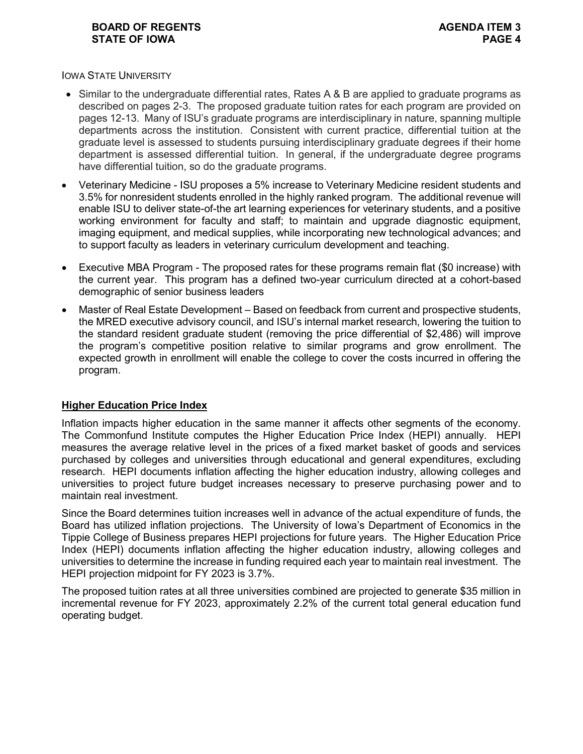### **BOARD OF REGENTS AGENDA ITEM 3 STATE OF IOWA**

IOWA STATE UNIVERSITY

- Similar to the undergraduate differential rates, Rates A & B are applied to graduate programs as described on pages 2-3. The proposed graduate tuition rates for each program are provided on pages 12-13. Many of ISU's graduate programs are interdisciplinary in nature, spanning multiple departments across the institution. Consistent with current practice, differential tuition at the graduate level is assessed to students pursuing interdisciplinary graduate degrees if their home department is assessed differential tuition. In general, if the undergraduate degree programs have differential tuition, so do the graduate programs.
- Veterinary Medicine ISU proposes a 5% increase to Veterinary Medicine resident students and 3.5% for nonresident students enrolled in the highly ranked program. The additional revenue will enable ISU to deliver state-of-the art learning experiences for veterinary students, and a positive working environment for faculty and staff; to maintain and upgrade diagnostic equipment, imaging equipment, and medical supplies, while incorporating new technological advances; and to support faculty as leaders in veterinary curriculum development and teaching.
- Executive MBA Program The proposed rates for these programs remain flat (\$0 increase) with the current year. This program has a defined two-year curriculum directed at a cohort-based demographic of senior business leaders
- Master of Real Estate Development Based on feedback from current and prospective students, the MRED executive advisory council, and ISU's internal market research, lowering the tuition to the standard resident graduate student (removing the price differential of \$2,486) will improve the program's competitive position relative to similar programs and grow enrollment. The expected growth in enrollment will enable the college to cover the costs incurred in offering the program.

## **Higher Education Price Index**

Inflation impacts higher education in the same manner it affects other segments of the economy. The Commonfund Institute computes the Higher Education Price Index (HEPI) annually. HEPI measures the average relative level in the prices of a fixed market basket of goods and services purchased by colleges and universities through educational and general expenditures, excluding research. HEPI documents inflation affecting the higher education industry, allowing colleges and universities to project future budget increases necessary to preserve purchasing power and to maintain real investment.

Since the Board determines tuition increases well in advance of the actual expenditure of funds, the Board has utilized inflation projections. The University of Iowa's Department of Economics in the Tippie College of Business prepares HEPI projections for future years. The Higher Education Price Index (HEPI) documents inflation affecting the higher education industry, allowing colleges and universities to determine the increase in funding required each year to maintain real investment. The HEPI projection midpoint for FY 2023 is 3.7%.

The proposed tuition rates at all three universities combined are projected to generate \$35 million in incremental revenue for FY 2023, approximately 2.2% of the current total general education fund operating budget.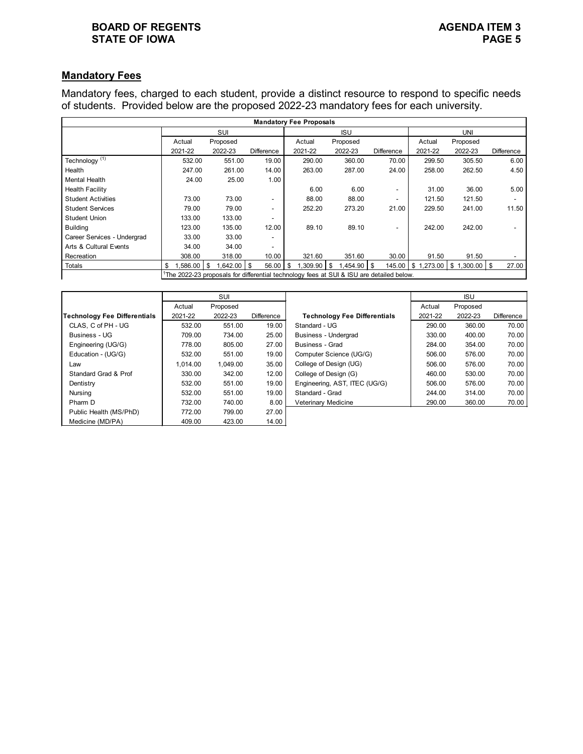## **BOARD OF REGENTS**<br> **BOARD OF REGENTS**<br> **BOARD OF IOWA**<br> **BOARD OF IOWA STATE OF IOWA**

# **Mandatory Fees**

Mandatory fees, charged to each student, provide a distinct resource to respond to specific needs of students. Provided below are the proposed 2022-23 mandatory fees for each university.

|                             |                                                                                              |          |                          | <b>Mandatory Fee Proposals</b> |               |                          |         |                             |            |  |  |
|-----------------------------|----------------------------------------------------------------------------------------------|----------|--------------------------|--------------------------------|---------------|--------------------------|---------|-----------------------------|------------|--|--|
|                             |                                                                                              | SUI      |                          |                                | <b>ISU</b>    |                          | UNI     |                             |            |  |  |
|                             | Actual                                                                                       | Proposed |                          | Actual                         | Proposed      |                          | Actual  | Proposed                    |            |  |  |
|                             | 2021-22                                                                                      | 2022-23  | Difference               | 2021-22                        | 2022-23       | <b>Difference</b>        | 2021-22 | 2022-23                     | Difference |  |  |
| Technology $\overline{11}$  | 532.00                                                                                       | 551.00   | 19.00                    | 290.00                         | 360.00        | 70.00                    | 299.50  | 305.50                      | 6.00       |  |  |
| Health                      | 247.00                                                                                       | 261.00   | 14.00                    | 263.00                         | 287.00        | 24.00                    | 258.00  | 262.50                      | 4.50       |  |  |
| Mental Health               | 24.00                                                                                        | 25.00    | 1.00                     |                                |               |                          |         |                             |            |  |  |
| <b>Health Facility</b>      |                                                                                              |          |                          | 6.00                           | 6.00          | $\overline{\phantom{a}}$ | 31.00   | 36.00                       | 5.00       |  |  |
| <b>Student Activities</b>   | 73.00                                                                                        | 73.00    | $\overline{\phantom{a}}$ | 88.00                          | 88.00         | $\overline{\phantom{a}}$ | 121.50  | 121.50                      |            |  |  |
| <b>Student Services</b>     | 79.00                                                                                        | 79.00    | $\overline{\phantom{a}}$ | 252.20                         | 273.20        | 21.00                    | 229.50  | 241.00                      | 11.50      |  |  |
| <b>Student Union</b>        | 133.00                                                                                       | 133.00   |                          |                                |               |                          |         |                             |            |  |  |
| <b>Building</b>             | 123.00                                                                                       | 135.00   | 12.00                    | 89.10                          | 89.10         | $\overline{\phantom{a}}$ | 242.00  | 242.00                      |            |  |  |
| Career Services - Undergrad | 33.00                                                                                        | 33.00    |                          |                                |               |                          |         |                             |            |  |  |
| Arts & Cultural Events      | 34.00                                                                                        | 34.00    |                          |                                |               |                          |         |                             |            |  |  |
| Recreation                  | 308.00                                                                                       | 318.00   | 10.00                    | 321.60                         | 351.60        | 30.00                    | 91.50   | 91.50                       |            |  |  |
| Totals                      | $1,586.00$ \ \$<br>\$                                                                        | .642.00  | 56.00<br>- \$            | .309.90<br>\$.                 | .454.90<br>\$ | 145.00<br>- 35           |         | $$1,273.00$ $$1,300.00$ $$$ | 27.00      |  |  |
|                             | $^1$ The 2022-23 proposals for differential technology fees at SUI & ISU are detailed below. |          |                          |                                |               |                          |         |                             |            |  |  |

|                              |          | SUI      |            |                                     |         | <b>ISU</b> |            |
|------------------------------|----------|----------|------------|-------------------------------------|---------|------------|------------|
|                              | Actual   | Proposed |            |                                     | Actual  | Proposed   |            |
| Technology Fee Differentials | 2021-22  | 2022-23  | Difference | <b>Technology Fee Differentials</b> | 2021-22 | 2022-23    | Difference |
| CLAS. C of PH - UG           | 532.00   | 551.00   | 19.00      | Standard - UG                       | 290.00  | 360.00     | 70.00      |
| Business - UG                | 709.00   | 734.00   | 25.00      | Business - Undergrad                | 330.00  | 400.00     | 70.00      |
| Engineering (UG/G)           | 778.00   | 805.00   | 27.00      | Business - Grad                     | 284.00  | 354.00     | 70.00      |
| Education - (UG/G)           | 532.00   | 551.00   | 19.00      | Computer Science (UG/G)             | 506.00  | 576.00     | 70.00      |
| Law                          | 1.014.00 | 1,049.00 | 35.00      | College of Design (UG)              | 506.00  | 576.00     | 70.00      |
| Standard Grad & Prof         | 330.00   | 342.00   | 12.00      | College of Design (G)               | 460.00  | 530.00     | 70.00      |
| Dentistry                    | 532.00   | 551.00   | 19.00      | Engineering, AST, ITEC (UG/G)       | 506.00  | 576.00     | 70.00      |
| Nursing                      | 532.00   | 551.00   | 19.00      | Standard - Grad                     | 244.00  | 314.00     | 70.00      |
| Pharm D                      | 732.00   | 740.00   | 8.00       | Veterinary Medicine                 | 290.00  | 360.00     | 70.00      |
| Public Health (MS/PhD)       | 772.00   | 799.00   | 27.00      |                                     |         |            |            |
| Medicine (MD/PA)             | 409.00   | 423.00   | 14.00      |                                     |         |            |            |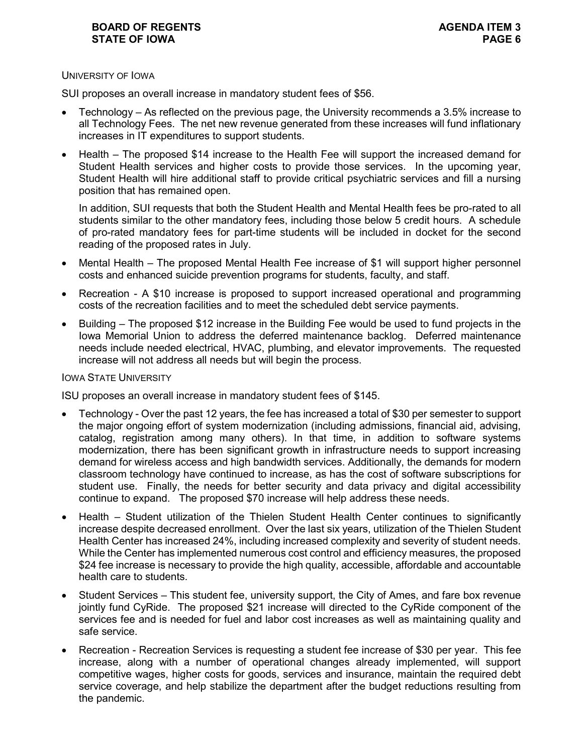### UNIVERSITY OF IOWA

SUI proposes an overall increase in mandatory student fees of \$56.

- Technology As reflected on the previous page, the University recommends a 3.5% increase to all Technology Fees. The net new revenue generated from these increases will fund inflationary increases in IT expenditures to support students.
- Health The proposed \$14 increase to the Health Fee will support the increased demand for Student Health services and higher costs to provide those services. In the upcoming year, Student Health will hire additional staff to provide critical psychiatric services and fill a nursing position that has remained open.

In addition, SUI requests that both the Student Health and Mental Health fees be pro-rated to all students similar to the other mandatory fees, including those below 5 credit hours. A schedule of pro-rated mandatory fees for part-time students will be included in docket for the second reading of the proposed rates in July.

- Mental Health The proposed Mental Health Fee increase of \$1 will support higher personnel costs and enhanced suicide prevention programs for students, faculty, and staff.
- Recreation A \$10 increase is proposed to support increased operational and programming costs of the recreation facilities and to meet the scheduled debt service payments.
- Building The proposed \$12 increase in the Building Fee would be used to fund projects in the Iowa Memorial Union to address the deferred maintenance backlog. Deferred maintenance needs include needed electrical, HVAC, plumbing, and elevator improvements. The requested increase will not address all needs but will begin the process.

#### IOWA STATE UNIVERSITY

ISU proposes an overall increase in mandatory student fees of \$145.

- Technology Over the past 12 years, the fee has increased a total of \$30 per semester to support the major ongoing effort of system modernization (including admissions, financial aid, advising, catalog, registration among many others). In that time, in addition to software systems modernization, there has been significant growth in infrastructure needs to support increasing demand for wireless access and high bandwidth services. Additionally, the demands for modern classroom technology have continued to increase, as has the cost of software subscriptions for student use. Finally, the needs for better security and data privacy and digital accessibility continue to expand. The proposed \$70 increase will help address these needs.
- Health Student utilization of the Thielen Student Health Center continues to significantly increase despite decreased enrollment. Over the last six years, utilization of the Thielen Student Health Center has increased 24%, including increased complexity and severity of student needs. While the Center has implemented numerous cost control and efficiency measures, the proposed \$24 fee increase is necessary to provide the high quality, accessible, affordable and accountable health care to students.
- Student Services This student fee, university support, the City of Ames, and fare box revenue jointly fund CyRide. The proposed \$21 increase will directed to the CyRide component of the services fee and is needed for fuel and labor cost increases as well as maintaining quality and safe service.
- Recreation Recreation Services is requesting a student fee increase of \$30 per year. This fee increase, along with a number of operational changes already implemented, will support competitive wages, higher costs for goods, services and insurance, maintain the required debt service coverage, and help stabilize the department after the budget reductions resulting from the pandemic.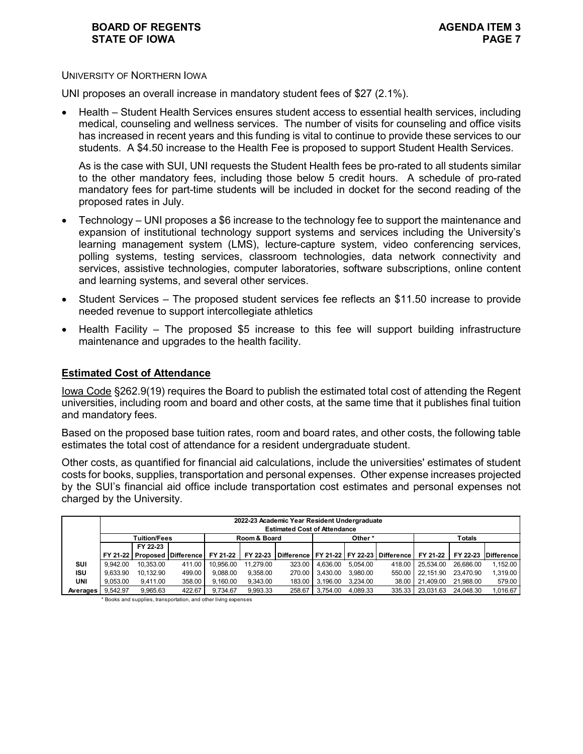## **BOARD OF REGENTS AGENDA ITEM 3 STATE OF IOWA PAGE 7**

#### UNIVERSITY OF NORTHERN IOWA

UNI proposes an overall increase in mandatory student fees of \$27 (2.1%).

• Health – Student Health Services ensures student access to essential health services, including medical, counseling and wellness services. The number of visits for counseling and office visits has increased in recent years and this funding is vital to continue to provide these services to our students. A \$4.50 increase to the Health Fee is proposed to support Student Health Services.

As is the case with SUI, UNI requests the Student Health fees be pro-rated to all students similar to the other mandatory fees, including those below 5 credit hours. A schedule of pro-rated mandatory fees for part-time students will be included in docket for the second reading of the proposed rates in July.

- Technology UNI proposes a \$6 increase to the technology fee to support the maintenance and expansion of institutional technology support systems and services including the University's learning management system (LMS), lecture-capture system, video conferencing services, polling systems, testing services, classroom technologies, data network connectivity and services, assistive technologies, computer laboratories, software subscriptions, online content and learning systems, and several other services.
- Student Services The proposed student services fee reflects an \$11.50 increase to provide needed revenue to support intercollegiate athletics
- Health Facility The proposed \$5 increase to this fee will support building infrastructure maintenance and upgrades to the health facility.

### **Estimated Cost of Attendance**

Iowa Code §262.9(19) requires the Board to publish the estimated total cost of attending the Regent universities, including room and board and other costs, at the same time that it publishes final tuition and mandatory fees.

Based on the proposed base tuition rates, room and board rates, and other costs, the following table estimates the total cost of attendance for a resident undergraduate student.

Other costs, as quantified for financial aid calculations, include the universities' estimates of student costs for books, supplies, transportation and personal expenses. Other expense increases projected by the SUI's financial aid office include transportation cost estimates and personal expenses not charged by the University.

|            | 2022-23 Academic Year Resident Undergraduate<br><b>Estimated Cost of Attendance</b> |                     |                                             |           |              |        |                   |          |                                                           |                  |               |                     |  |  |  |
|------------|-------------------------------------------------------------------------------------|---------------------|---------------------------------------------|-----------|--------------|--------|-------------------|----------|-----------------------------------------------------------|------------------|---------------|---------------------|--|--|--|
|            |                                                                                     | <b>Tuition/Fees</b> |                                             |           | Room & Board |        |                   | Other*   |                                                           |                  | <b>Totals</b> |                     |  |  |  |
|            |                                                                                     | FY 22-23            |                                             |           |              |        |                   |          |                                                           |                  |               |                     |  |  |  |
|            |                                                                                     |                     | FY 21-22   Proposed   Difference   FY 21-22 |           |              |        |                   |          | FY 22-23 Difference FY 21-22 FY 22-23 Difference FY 21-22 |                  |               | FY 22-23 Difference |  |  |  |
| SUI        | 9.942.00                                                                            | 10.353.00           | 411.00                                      | 10.956.00 | 11.279.00    |        | 323.00   4.636.00 | 5.054.00 |                                                           | 418.00 25.534.00 | 26.686.00     | 1.152.00            |  |  |  |
| <b>ISU</b> | 9.633.90                                                                            | 10.132.90           | 499.00                                      | 9.088.00  | 9.358.00     |        | 270.00 3.430.00   | 3.980.00 |                                                           | 550.00 22.151.90 | 23.470.90     | 1.319.00            |  |  |  |
| <b>UNI</b> | 9.053.00                                                                            | 9.411.00            | 358.00                                      | 9.160.00  | 9.343.00     |        | 183.00 3.196.00   | 3.234.00 |                                                           | 38.00 21.409.00  | 21.988.00     | 579.00              |  |  |  |
| Averages   | 9.542.97                                                                            | 9.965.63            | 422.67                                      | 9.734.67  | 9.993.33     | 258.67 | 3.754.00          | 4.089.33 | 335.33                                                    | 23.031.63        | 24.048.30     | 1,016.67            |  |  |  |

\* Books and supplies, transportation, and other living expenses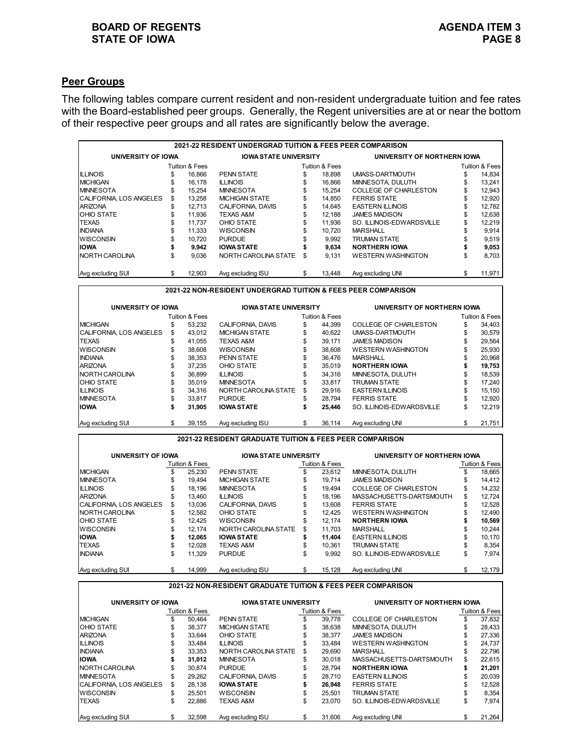## **BOARD OF REGENTS**<br> **BOARD OF REGENTS**<br> **BOARD OF IOWA**<br> **PAGE 8 STATE OF IOWA**

## **Peer Groups**

The following tables compare current resident and non-resident undergraduate tuition and fee rates with the Board-established peer groups. Generally, the Regent universities are at or near the bottom of their respective peer groups and all rates are significantly below the average.

| 2021-22 RESIDENT UNDERGRAD TUITION & FEES PEER COMPARISON |    |                |                              |    |                |                              |                             |        |  |  |  |  |  |
|-----------------------------------------------------------|----|----------------|------------------------------|----|----------------|------------------------------|-----------------------------|--------|--|--|--|--|--|
| UNIVERSITY OF IOWA                                        |    |                | <b>IOWA STATE UNIVERSITY</b> |    |                |                              | UNIVERSITY OF NORTHERN IOWA |        |  |  |  |  |  |
|                                                           |    | Tuition & Fees |                              |    | Tuition & Fees | Tuition & Fees               |                             |        |  |  |  |  |  |
| <b>ILLINOIS</b>                                           | S  | 16.866         | <b>PENN STATE</b>            | \$ | 18.898         | UMASS-DARTMOUTH              | \$                          | 14.834 |  |  |  |  |  |
| <b>IMICHIGAN</b>                                          |    | 16.178         | <b>ILLINOIS</b>              |    | 16.866         | MINNESOTA, DULUTH            |                             | 13.241 |  |  |  |  |  |
| <b>IMINNESOTA</b>                                         | \$ | 15.254         | <b>MINNESOTA</b>             | S  | 15.254         | <b>COLLEGE OF CHARLESTON</b> | S                           | 12,943 |  |  |  |  |  |
| <b>ICALIFORNIA, LOS ANGELES</b>                           | S  | 13.258         | <b>MICHIGAN STATE</b>        | \$ | 14.850         | <b>FERRIS STATE</b>          |                             | 12,920 |  |  |  |  |  |
| <b>ARIZONA</b>                                            | \$ | 12.713         | CALIFORNIA, DAVIS            |    | 14.645         | <b>EASTERN ILLINOIS</b>      |                             | 12.782 |  |  |  |  |  |
| <b>OHIO STATE</b>                                         |    | 11.936         | <b>TEXAS A&amp;M</b>         |    | 12.188         | <b>JAMES MADISON</b>         |                             | 12.638 |  |  |  |  |  |
| <b>TEXAS</b>                                              |    | 11.737         | OHIO STATE                   |    | 11.936         | SO. ILLINOIS-EDWARDSVILLE    |                             | 12.219 |  |  |  |  |  |
| <b>INDIANA</b>                                            |    | 11.333         | <b>WISCONSIN</b>             | \$ | 10.720         | <b>MARSHALL</b>              |                             | 9,914  |  |  |  |  |  |
| <b>WISCONSIN</b>                                          |    | 10.720         | <b>PURDUE</b>                |    | 9.992          | TRUMAN STATE                 |                             | 9,519  |  |  |  |  |  |
| IIOWA                                                     |    | 9.942          | <b>IOWA STATE</b>            |    | 9.634          | <b>NORTHERN IOWA</b>         |                             | 9,053  |  |  |  |  |  |
| <b>INORTH CAROLINA</b>                                    | \$ | 9.036          | NORTH CAROLINA STATE         | \$ | 9.131          | <b>WESTERN WASHINGTON</b>    |                             | 8.703  |  |  |  |  |  |
| Avg excluding SUI                                         | \$ | 12.903         | Avg excluding ISU            |    | 13,448         | Avg excluding UNI            | \$                          | 11.971 |  |  |  |  |  |

**2021-22 NON-RESIDENT UNDERGRAD TUITION & FEES PEER COMPARISON**

| UNIVERSITY OF IOWA       |     |                | <b>IOWA STATE UNIVERSITY</b> |    |                | UNIVERSITY OF NORTHERN IOWA  |    |                |  |  |  |
|--------------------------|-----|----------------|------------------------------|----|----------------|------------------------------|----|----------------|--|--|--|
|                          |     | Tuition & Fees |                              |    | Tuition & Fees |                              |    | Tuition & Fees |  |  |  |
| <b>IMICHIGAN</b>         | S   | 53.232         | CALIFORNIA, DAVIS            | \$ | 44.399         | <b>COLLEGE OF CHARLESTON</b> | \$ | 34.403         |  |  |  |
| ICALIFORNIA. LOS ANGELES | \$  | 43.012         | <b>MICHIGAN STATE</b>        | \$ | 40.622         | UMASS-DARTMOUTH              |    | 30,579         |  |  |  |
| <b>ITEXAS</b>            | \$  | 41.055         | <b>TEXAS A&amp;M</b>         | \$ | 39.171         | <b>JAMES MADISON</b>         | \$ | 29,564         |  |  |  |
| <b>WISCONSIN</b>         |     | 38,608         | <b>WISCONSIN</b>             | \$ | 38.608         | <b>WESTERN WASHINGTON</b>    |    | 25,930         |  |  |  |
| <b>INDIANA</b>           |     | 38.353         | <b>PENN STATE</b>            |    | 36.476         | <b>MARSHALL</b>              |    | 20.968         |  |  |  |
| <b>ARIZONA</b>           | \$  | 37.235         | OHIO STATE                   | \$ | 35.019         | <b>NORTHERN IOWA</b>         | S  | 19,753         |  |  |  |
| <b>INORTH CAROLINA</b>   | \$. | 36.899         | <b>ILLINOIS</b>              |    | 34.316         | MINNESOTA, DULUTH            | \$ | 18.539         |  |  |  |
| <b>OHIO STATE</b>        | \$  | 35.019         | <b>MINNESOTA</b>             | \$ | 33.817         | <b>TRUMAN STATE</b>          | \$ | 17,240         |  |  |  |
| <b>ILLINOIS</b>          |     | 34.316         | NORTH CAROLINA STATE         | \$ | 29.916         | <b>EASTERN ILLINOIS</b>      | \$ | 15.150         |  |  |  |
| <b>IMINNESOTA</b>        |     | 33.817         | <b>PURDUE</b>                |    | 28.794         | <b>FERRIS STATE</b>          | \$ | 12.920         |  |  |  |
| IIOWA                    | \$  | 31.905         | <b>IOWA STATE</b>            |    | 25.446         | SO. ILLINOIS-EDWARDSVILLE    | \$ | 12.219         |  |  |  |
| Avg excluding SUI        | \$  | 39.155         | Avg excluding ISU            | S. | 36.114         | Avg excluding UNI            | S  | 21,751         |  |  |  |

**2021-22 RESIDENT GRADUATE TUITION & FEES PEER COMPARISON**

| UNIVERSITY OF IOWA       |    |                | <b>IOWA STATE UNIVERSITY</b> |    |                | UNIVERSITY OF NORTHERN IOWA  |                |        |  |  |  |
|--------------------------|----|----------------|------------------------------|----|----------------|------------------------------|----------------|--------|--|--|--|
|                          |    | Tuition & Fees |                              |    | Tuition & Fees |                              | Tuition & Fees |        |  |  |  |
| <b>MICHIGAN</b>          | S  | 25.230         | <b>PENN STATE</b>            | S  | 23.612         | MINNESOTA, DULUTH            |                | 18.665 |  |  |  |
| <b>MINNESOTA</b>         | S  | 19.494         | <b>MICHIGAN STATE</b>        | \$ | 19.714         | <b>JAMES MADISON</b>         |                | 14.412 |  |  |  |
| <b>IILLINOIS</b>         | \$ | 18.196         | <b>MINNESOTA</b>             | S  | 19.494         | <b>COLLEGE OF CHARLESTON</b> | S              | 14,232 |  |  |  |
| <b>ARIZONA</b>           | S  | 13.460         | <b>ILLINOIS</b>              | \$ | 18.196         | MASSACHUSETTS-DARTSMOUTH     | \$             | 12.724 |  |  |  |
| ICALIFORNIA. LOS ANGELES | \$ | 13.036         | CALIFORNIA, DAVIS            | \$ | 13.608         | <b>FERRIS STATE</b>          | \$             | 12,528 |  |  |  |
| NORTH CAROLINA           | \$ | 12.582         | OHIO STATE                   | \$ | 12.425         | <b>WESTERN WASHINGTON</b>    | \$             | 12.490 |  |  |  |
| <b>OHIO STATE</b>        | \$ | 12.425         | <b>WISCONSIN</b>             | \$ | 12.174         | <b>NORTHERN IOWA</b>         |                | 10,569 |  |  |  |
| <b>WISCONSIN</b>         | \$ | 12.174         | NORTH CAROLINA STATE         | \$ | 11.703         | MARSHALL                     | \$             | 10.244 |  |  |  |
| IIOWA                    |    | 12.065         | <b>IOWA STATE</b>            |    | 11.404         | <b>EASTERN ILLINOIS</b>      | \$             | 10,170 |  |  |  |
| <b>TEXAS</b>             | S  | 12.028         | <b>TEXAS A&amp;M</b>         | \$ | 10.361         | <b>TRUMAN STATE</b>          | \$             | 8.354  |  |  |  |
| <b>INDIANA</b>           | \$ | 11.329         | <b>PURDUE</b>                |    | 9.992          | SO. ILLINOIS-EDWARDSVILLE    | \$             | 7.974  |  |  |  |
| Avg excluding SUI        | \$ | 14.999         | Ava excluding ISU            | \$ | 15.128         | Ava excluding UNI            | S              | 12.179 |  |  |  |

#### **2021-22 NON-RESIDENT GRADUATE TUITION & FEES PEER COMPARISON**

| UNIVERSITY OF IOWA             |    |                | <b>IOWA STATE UNIVERSITY</b> |    |                | UNIVERSITY OF NORTHERN IOWA  |    |                |  |  |  |
|--------------------------------|----|----------------|------------------------------|----|----------------|------------------------------|----|----------------|--|--|--|
|                                |    | Tuition & Fees |                              |    | Tuition & Fees |                              |    | Tuition & Fees |  |  |  |
| <b>MICHIGAN</b>                |    | 50.464         | <b>PENN STATE</b>            | \$ | 39.778         | <b>COLLEGE OF CHARLESTON</b> | \$ | 37,832         |  |  |  |
| <b>OHIO STATE</b>              | S  | 38.377         | <b>MICHIGAN STATE</b>        | \$ | 38.638         | MINNESOTA, DULUTH            | \$ | 28.433         |  |  |  |
| <b>ARIZONA</b>                 | S  | 33.644         | OHIO STATE                   | S  | 38.377         | <b>JAMES MADISON</b>         | S  | 27.336         |  |  |  |
| <b>ILLINOIS</b>                |    | 33.484         | <b>ILLINOIS</b>              |    | 33.484         | <b>WESTERN WASHINGTON</b>    |    | 24.737         |  |  |  |
| <b>INDIANA</b>                 | S  | 33.353         | NORTH CAROLINA STATE         | S  | 29.690         | MARSHALL                     | \$ | 22.796         |  |  |  |
| <b>IIOWA</b>                   |    | 31.012         | <b>MINNESOTA</b>             | \$ | 30.018         | MASSACHUSETTS-DARTSMOUTH     | \$ | 22,615         |  |  |  |
| <b>INORTH CAROLINA</b>         |    | 30.874         | <b>PURDUE</b>                | \$ | 28.794         | <b>NORTHERN IOWA</b>         | \$ | 21.201         |  |  |  |
| <b>IMINNESOTA</b>              | \$ | 29.262         | CALIFORNIA, DAVIS            | \$ | 28.710         | <b>EASTERN ILLINOIS</b>      |    | 20.039         |  |  |  |
| <b>CALIFORNIA, LOS ANGELES</b> | S  | 28.138         | <b>IOWA STATE</b>            |    | 26.948         | <b>FERRIS STATE</b>          |    | 12,528         |  |  |  |
| <b>WISCONSIN</b>               | \$ | 25.501         | <b>WISCONSIN</b>             | \$ | 25.501         | <b>TRUMAN STATE</b>          | \$ | 8.354          |  |  |  |
| <b>TEXAS</b>                   | S  | 22.886         | <b>TEXAS A&amp;M</b>         | \$ | 23,070         | SO. ILLINOIS-EDWARDSVILLE    | \$ | 7.974          |  |  |  |
| Ava excluding SUI              | \$ | 32.598         | Ava excluding ISU            | \$ | 31.606         | Ava excluding UNI            | \$ | 21.264         |  |  |  |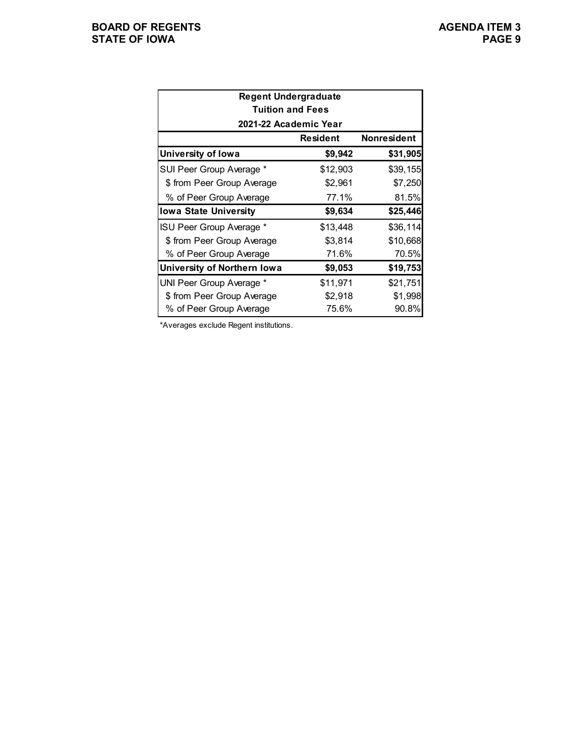| <b>Regent Undergraduate</b><br><b>Tuition and Fees</b> |          |          |  |  |  |  |  |  |  |  |  |  |  |
|--------------------------------------------------------|----------|----------|--|--|--|--|--|--|--|--|--|--|--|
| 2021-22 Academic Year                                  |          |          |  |  |  |  |  |  |  |  |  |  |  |
| Nonresident<br><b>Resident</b>                         |          |          |  |  |  |  |  |  |  |  |  |  |  |
| University of Iowa                                     | \$9,942  | \$31,905 |  |  |  |  |  |  |  |  |  |  |  |
| SUI Peer Group Average *                               | \$12,903 | \$39,155 |  |  |  |  |  |  |  |  |  |  |  |
| \$ from Peer Group Average                             | \$2,961  | \$7,250  |  |  |  |  |  |  |  |  |  |  |  |
| % of Peer Group Average                                | 77.1%    | 81.5%    |  |  |  |  |  |  |  |  |  |  |  |
| <b>Iowa State University</b>                           | \$9,634  | \$25,446 |  |  |  |  |  |  |  |  |  |  |  |
| ISU Peer Group Average *                               | \$13,448 | \$36,114 |  |  |  |  |  |  |  |  |  |  |  |
| \$ from Peer Group Average                             | \$3,814  | \$10,668 |  |  |  |  |  |  |  |  |  |  |  |
| % of Peer Group Average                                | 71.6%    | 70.5%    |  |  |  |  |  |  |  |  |  |  |  |
| University of Northern Iowa                            | \$9,053  | \$19,753 |  |  |  |  |  |  |  |  |  |  |  |
| UNI Peer Group Average *                               | \$11,971 | \$21,751 |  |  |  |  |  |  |  |  |  |  |  |
| \$ from Peer Group Average                             | \$2,918  | \$1,998  |  |  |  |  |  |  |  |  |  |  |  |
| % of Peer Group Average                                | 75.6%    | 90.8%    |  |  |  |  |  |  |  |  |  |  |  |

\*Averages exclude Regent institutions.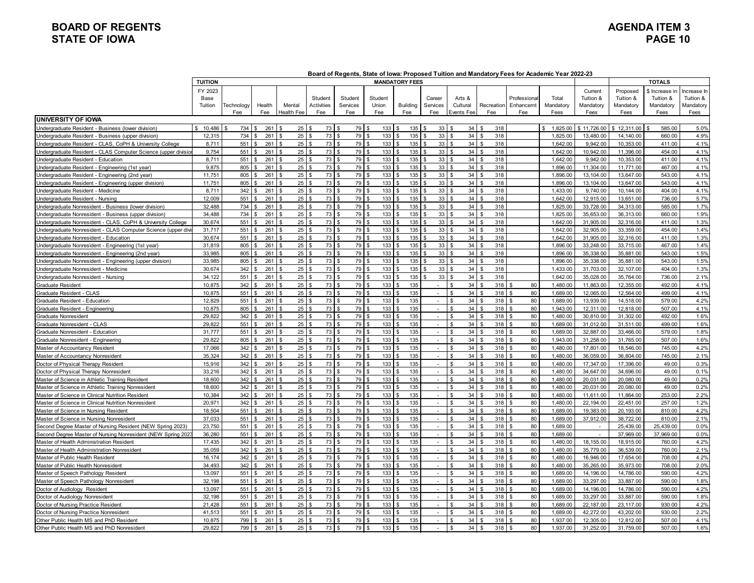## **BOARD OF REGENTS AGENDA ITEM 3 STATE OF IOWA**

|                                                               | <b>TUITION</b> |            |            |                   |                           |                     |          | <b>MANDATORY FEES</b> |                             |                      |                           |                     |                |             |            | <b>TOTALS</b>  |             |
|---------------------------------------------------------------|----------------|------------|------------|-------------------|---------------------------|---------------------|----------|-----------------------|-----------------------------|----------------------|---------------------------|---------------------|----------------|-------------|------------|----------------|-------------|
|                                                               | FY 2023        |            |            |                   |                           |                     |          |                       |                             |                      |                           |                     |                | Current     | Proposed   | \$ Increase in | Increase In |
|                                                               | Base           |            |            |                   | Student                   | Student             | Student  |                       | Career                      | Arts &               |                           | Professiona         | Total          | Tuition &   | Tuition &  | Tuition &      | Tuition &   |
|                                                               | Tuition        | Technology | Health     | Mental            | <b>Activities</b>         | Services            | Union    | <b>Building</b>       | Services                    | Cultural             | Recreation                | Enhancemt           | Mandatory      | Mandatory   | Mandatory  | Mandatory      | Mandatory   |
|                                                               |                | Fee        | Fee        | <b>Health Fee</b> | Fee                       | Fee                 | Fee      | Fee                   | Fee                         | Events Fee           | Fee                       | Fee                 | Fees           | Fees        | Fees       | Fees           | Fees        |
| <b>IUNIVERSITY OF IOWA</b>                                    |                |            |            |                   |                           |                     |          |                       |                             |                      |                           |                     |                |             |            |                |             |
| Undergraduate Resident - Business (lower division)            | 10,486<br>\$.  | 734        | 261S<br>\$ | 25                | 73                        | 79                  | 133      | 135<br>l s            | 33                          | 34<br>l \$           | 318<br>\$                 |                     | 1,825.00<br>\$ | \$11,726.00 | 12,311.00  | 585.00         | 5.0%        |
| Undergraduate Resident - Business (upper division)            | 12,315         | 734        | 261        | 25                | 73                        | 79                  | 133      | 135                   | 33                          | 34<br>$\mathbf{C}$   | 318<br>$\mathfrak{L}$     |                     | 1,825.00       | 13,480.00   | 14,140.00  | 660.00         | 4.9%        |
| Jndergraduate Resident - CLAS, CoPH & University College      | 8,711          | 551        | 261        | 25                | 73                        | 79<br>l \$          | 133      | 135                   | 33                          | 34<br><b>S</b>       | 318                       |                     | 1,642.00       | 9,942.00    | 10,353.00  | 411.00         | 4.1%        |
| Indergraduate Resident - CLAS Computer Science (upper divisio | 9,754          | 551        | 261        | 25                | 73                        | 79                  | 133      | 135                   | 33                          | 34<br>$\mathfrak{L}$ | 318                       |                     | 1,642.00       | 10,942.00   | 11,396.00  | 454.00         | 4.1%        |
| Undergraduate Resident - Education                            | 8.711          | 551        | 261        | 25                | 73<br>\$                  | 79<br>l s           | 133      | 135                   | 33                          | 34<br>$\mathbf{S}$   | 318<br>\$                 |                     | 1.642.00       | 9.942.00    | 10.353.00  | 411.00         | 4.1%        |
| Jndergraduate Resident - Engineering (1st year)               | 9,875          | 805        | 261S       | 25                | 73                        | 79<br>I۶            | 133      | 135                   | 33                          | 34<br>$\mathbf{s}$   | 318<br>ፍ                  |                     | 1,896.00       | 11.304.00   | 11.771.00  | 467.00         | 4.1%        |
| Undergraduate Resident - Engineering (2nd year)               | 11,751         | 805        | 261        | 25                | 73<br>ፍ                   | 79<br>۱¢            | 133      | 135                   | 33                          | 34<br>Ι۹             | 318<br>ፍ                  |                     | 1,896.00       | 13,104.00   | 13,647.00  | 543.00         | 4.1%        |
| Indergraduate Resident - Engineering (upper division)         | 11,751         | 805        | 261S       | 25                | 73<br><b>¢</b>            | 79<br>l s           | 133      | 135                   | 33                          | 34<br>l s            | 318                       |                     | 1,896.00       | 13,104.00   | 13,647.00  | 543.00         | 4.1%        |
| Jndergraduate Resident - Medicine                             | 8.711          | 342        | 261        | 25                | 73                        | 79<br><b>S</b>      | 133      | 135                   | 33                          | 34<br><b>S</b>       | 318                       |                     | 1,433.00       | 9,740.00    | 10.144.00  | 404.00         | 4.1%        |
| Undergraduate Resident - Nursing                              | 12,009         | 551        | 261        | 25                | 73                        | 79<br>l \$          | 133      | 135                   | 33                          | 34<br>- \$           | 318<br>\$                 |                     | 1,642.00       | 12,915.00   | 13,651.00  | 736.00         | 5.7%        |
| Indergraduate Nonresident - Business (lower division)         | 32.488         | 734        | 261        | 25                | 73                        | 79<br>$\mathbf{S}$  | 133      | 135                   | 33                          | 34<br>$\mathbf{s}$   | 318                       |                     | 1,825.00       | 33.728.00   | 34.313.00  | 585.00         | 1.7%        |
| Undergraduate Nonresident - Business (upper division)         | 34.488         | 734        | 261S       | 25                | 73<br>-\$                 | 79<br>$\mathcal{S}$ | 133      | 135                   | 33                          | 34<br>l s            | 318<br>\$                 |                     | 1,825.00       | 35,653.00   | 36.313.00  | 660.00         | 1.9%        |
| Jndergraduate Nonresident - CLAS, CoPH & University College   | 30,674         | 551        | 261S       | 25                | 73<br>ፍ                   | 79<br>١s            | 133      | 135                   | 33                          | 34<br>l s            | 318<br>ፍ                  |                     | 1,642.00       | 31,905.00   | 32,316.00  | 411.00         | 1.3%        |
| Indergraduate Nonresident - CLAS Computer Science (upper divi | 31,717         | 551        | 261        | 25                | 73<br>ς.                  | 79<br><b>S</b>      | 133      | 135                   | 33                          | 34<br>l s            | 318                       |                     | 1,642.00       | 32,905.00   | 33,359.00  | 454.00         | 1.4%        |
| Indergraduate Nonresident - Education                         | 30,674         | 551        | 261        | 25                | 73<br>$\mathfrak{s}$      | 79<br>l \$          | 133      | 135                   | 33                          | 34<br>l s            | 318<br>\$                 |                     | 1,642.00       | 31,905.00   | 32,316.00  | 411.00         | 1.3%        |
| Indergraduate Nonresident - Engineering (1st year)            | 31.819         | 805        | 261        | 25                | 73                        | 79                  | 133      | 135                   | 33                          | 34<br>$\mathbf{s}$   | 318<br>\$                 |                     | 1,896.00       | 33.248.00   | 33.715.00  | 467.00         | 1.4%        |
| Jndergraduate Nonresident - Engineering (2nd year)            | 33,985         | 805        | 261        | 25                | 73<br>$\hat{\mathcal{L}}$ | 79<br>I۶            | 133      | 135                   | 33                          | 34<br><b>S</b>       | 318<br>$\mathbf{\hat{z}}$ |                     | 1,896.00       | 35.338.00   | 35.881.00  | 543.00         | 1.5%        |
| Indergraduate Nonresident - Engineering (upper division)      | 33,985         | 805        | 261S       | 25                | 73                        | 79<br>۱¢            | 133      | 135                   | 33                          | 34<br>$\mathcal{S}$  | 318                       |                     | 1,896.00       | 35,338.00   | 35,881.00  | 543.00         | 1.5%        |
| Undergraduate Nonresident - Medicine                          | 30,674         | 342        | 261        | 25                | 73                        | 79<br>l \$          | 133      | 135                   | 33                          | 34<br>$\mathbf{s}$   | 318                       |                     | 1,433.00       | 31,703.00   | 32, 107.00 | 404.00         | 1.3%        |
| Undergraduate Nonresident - Nursing                           | 34.122         | 551        | 261        | 25                | 73<br>$\mathfrak{s}$      | 79<br>l s           | 133      | 135                   | 33                          | 34<br><b>S</b>       | 318<br>\$                 |                     | 1,642.00       | 35,028.00   | 35,764.00  | 736.00         | 2.1%        |
| <b>Graduate Resident</b>                                      | 10.875         | 342        | 261S       | 25                | 73                        | 79<br>I۶            | $133$ \$ | 135                   | $\overline{\phantom{a}}$    | 34<br>$\mathbf{s}$   | 318<br>ፍ                  | 80<br>. ድ           | 1,480.00       | 11.863.00   | 12,355.00  | 492.00         | 4.1%        |
| Graduate Resident - CLAS                                      | 10,875         | 551        | 261        | 25                | 73                        | 79<br>۱¢            | 133      | 135                   | $\mathbf{r}$                | 34<br>l \$           | 318<br>ፍ                  | 80                  | 1,689.00       | 12,065.00   | 12,564.00  | 499.00         | 4.1%        |
| Graduate Resident - Education                                 | 12,829         | 551        | 261        | 25                | 73                        | 79<br>$\mathcal{S}$ | 133      | 135                   | $\sim$                      | 34<br>- \$           | 318                       | 80                  | 1,689.00       | 13,939.00   | 14,518.00  | 579.00         | 4.2%        |
| Graduate Resident - Engineering                               | 10,875         | 805        | 261        | 25                | 73                        | 79<br>l \$          | 133      | 135                   | $\overline{a}$              | 34<br>$\sqrt{3}$     | 318                       | 80                  | 1,943.00       | 12,311.00   | 12,818.00  | 507.00         | 4.1%        |
| <b>Graduate Nonresident</b>                                   | 29,822         | 342        | 261        | 25                | 73                        | 79                  | 133      | 135                   | $\blacksquare$              | 34<br>$\mathfrak{L}$ | 318                       | 80                  | 1,480.00       | 30,810.00   | 31,302.00  | 492.00         | 1.6%        |
| Graduate Nonresident - CLAS                                   | 29.822         | 551        | 261        | 25                | 73                        | 79<br>$\mathcal{L}$ | 133      | 135                   |                             | 34<br>$\mathfrak{s}$ | 318<br>\$                 | 80                  | 1,689.00       | 31.012.00   | 31.511.00  | 499.00         | 1.6%        |
|                                                               | 31.777         | 551        | 261        | . ድ               | 73<br>-\$                 | 79<br>l s           | 133      | 135                   | $\sim$                      | <b>S</b><br>34       | 318<br>$\mathbf{\hat{z}}$ | 80<br>\$            |                |             | 33,466.00  |                | 1.8%        |
| Graduate Nonresident - Education                              |                |            |            | 25                | $\hat{\mathcal{L}}$       | 79<br>l s           |          |                       |                             |                      |                           |                     | 1,689.00       | 32,887.00   |            | 579.00         |             |
| Graduate Nonresident - Engineering                            | 29,822         | 805        | 261S       | 25                | 73                        | 79                  | 133      | 135                   | $\sim$                      | 34<br>\$             | 318                       | 80                  | 1,943.00       | 31,258.00   | 31,765.00  | 507.00         | 1.6%        |
| Master of Accountancy Resident                                | 17,066         | 342        | 261        | 25                | 73                        |                     | 133      | 135                   |                             | 34<br>$\mathbf{s}$   | 318                       | 80                  | 1,480.00       | 17,801.00   | 18.546.00  | 745.00         | 4.2%        |
| Master of Accountancy Nonresident                             | 35.324         | 342        | 261        | 25                | 73                        | 79<br>$\mathcal{S}$ | 133      | 135                   | $\sim$                      | $\mathfrak{L}$<br>34 | 318<br>$\mathfrak{s}$     | 80                  | 1,480.00       | 36.059.00   | 36.804.00  | 745.00         | 2.1%        |
| Doctor of Physical Therapy Resident                           | 15,916         | 342        | 261S       | 25                | 73                        | 79<br>l s           | 133      | 135                   | $\sim$                      | 34<br><b>S</b>       | 318<br>\$                 | 80<br>\$            | 1,480.00       | 17,347.00   | 17,396.00  | 49.00          | 0.3%        |
| Doctor of Physical Therapy Nonresident                        | 33,216         | 342        | 261        | 25                | 73                        | 79<br>l s           | 133      | 135                   | $\sim$                      | 34<br>$\mathbf{s}$   | 318<br>$\mathfrak{L}$     | 80                  | 1,480.00       | 34,647.00   | 34,696.00  | 49.00          | 0.1%        |
| Master of Science in Athletic Training Resident               | 18,600         | 342        | 261S       | 25                | 73<br>$\mathfrak{L}$      | 79<br>l \$          | 133      | 135                   | $\sim$                      | 34<br>-S             | $\mathfrak{L}$<br>318     | 80                  | 1,480.00       | 20,031.00   | 20,080.00  | 49.00          | 0.2%        |
| Master of Science in Athletic Training Nonresident            | 18,600         | 342        | 261        | 25                | 73                        | 79                  | 133      | 135                   |                             | 34<br>$\mathbf{s}$   | 318                       | 80                  | 1,480.00       | 20,031.00   | 20,080.00  | 49.00          | 0.2%        |
| Master of Science in Clinical Nutrition Resident              | 10.384         | 342        | 261        | 25                | 73<br>\$                  | 79<br>l s           | 133      | 135                   | $\sim$                      | 34<br>$\mathbf{s}$   | 318<br>$\mathfrak{s}$     | 80                  | 1,480.00       | 11,611.00   | 11,864.00  | 253.00         | 2.2%        |
| Master of Science in Clinical Nutrition Nonresident           | 20.971         | 342        | 261S       | 25                | 73                        | 79<br>I۶            | 133      | 135                   | $\sim$                      | 34<br>$\mathbf{s}$   | 318<br>ፍ                  | 80<br>$\mathcal{F}$ | 1,480.00       | 22.194.00   | 22.451.00  | 257.00         | 1.2%        |
| Master of Science in Nursing Resident                         | 18,504         | 551        | 261        | 25                | 73                        | 79<br>۱s            | 133      | 135                   | $\sim$                      | 34<br>l \$           | 318                       | 80                  | 1,689.00       | 19,383.00   | 20,193.00  | 810.00         | 4.2%        |
| Master of Science in Nursing Nonresident                      | 37,033         | 551        | $261$ \$   | 25                | 73                        | 79                  | 133      | 135                   | $\sim$                      | 34<br>$\sim$         | 318                       | 80                  | 1,689.00       | 37,912.00   | 38,722.00  | 810.00         | 2.1%        |
| Second Degree Master of Nursing Resident (NEW Spring 2023)    | 23,750         | 551        | 261        | 25                | 73                        | 79<br>l \$          | 133      | 135                   |                             | 34<br>$\sim$         | 318                       | 80                  | 1,689.00       |             | 25,439.00  | 25,439.00      | 0.0%        |
| Second Degree Master of Nursing Nonresident (NEW Spring 202)  | 36,280         | 551        | 261        | 25                | 73                        | 79<br>l \$          | 133      | 135                   |                             | 34<br>$\mathfrak{L}$ | 318<br>\$                 | 80                  | 1,689.00       |             | 37,969.00  | 37,969.00      | 0.0%        |
| Master of Health Administration Resident                      | 17.435         | 342        | 261        | 25                | 73                        | 79                  | 133      | 135                   | $\overline{a}$              | 34<br>$\mathfrak{s}$ | 318                       | 80                  | 1.480.00       | 18.155.00   | 18.915.00  | 760.00         | 4.2%        |
| Master of Health Administration Nonresident                   | 35,059         | 342        | 261        | 25<br>l \$        | 73<br>\$                  | 79<br>l s           | 133      | 135                   | $\sim$                      | <b>S</b><br>34       | 318<br>$\mathbf{\hat{z}}$ | 80<br>\$            | 1,480.00       | 35,779.00   | 36,539.00  | 760.00         | 2.1%        |
| Master of Public Health Resident                              | 16.174         | 342        | 261        | 25                | 73<br>$\mathbf{C}$        | 79<br>۱¢            | 133      | 135                   | $\sim$                      | <b>S</b><br>34       | 318<br>ፍ                  | 80                  | 1,480.00       | 16,946.00   | 17,654.00  | 708.00         | 4.2%        |
| Master of Public Health Nonresident                           | 34,493         | 342        | 261        | 25                | 73                        | 79<br>l \$          | 133      | 135                   | $\mathcal{L}_{\mathcal{A}}$ | $\sqrt{3}$<br>34     | 318<br>ፍ                  | 80<br>- \$          | 1,480.00       | 35,265.00   | 35,973.00  | 708.00         | 2.0%        |
| Master of Speech Pathology Residen                            | 13,097         | 551        | 261        | 25                | 73                        | 79                  | 133      | 135                   | $\blacksquare$              | 34<br>$\mathfrak{L}$ | 318                       | 80                  | 1,689.00       | 14,196.00   | 14,786.00  | 590.00         | 4.2%        |
| Master of Speech Pathology Nonresident                        | 32.198         | 551        | 261        | 25                | 73                        | 79                  | 133      | 135                   |                             | 34<br>$\mathbf{s}$   | 318<br>$\mathfrak{L}$     | 80                  | 1,689.00       | 33.297.00   | 33.887.00  | 590.00         | 1.8%        |
| Doctor of Audiology Resident                                  | 13.097         | 551        | 261        | 25<br>Ι¢          | 73<br>-\$                 | 79<br>l s           | 133      | 135                   | $\sim$                      | $\mathbf{s}$<br>34   | 318<br>\$                 | 80<br>- \$          | 1,689.00       | 14,196.00   | 14,786.00  | 590.00         | 4.2%        |
| Doctor of Audiology Nonresident                               | 32.198         | 551        | 261S       | 25                | 73                        | 79<br>I۶            | 133      | 135                   | $\sim$                      | 34<br>l \$           | 318                       | 80                  | 1,689.00       | 33,297.00   | 33,887.00  | 590.00         | 1.8%        |
| Doctor of Nursing Practice Resident                           | 21,428         | 551        | 261        | 25                | 73                        | 79<br><b>S</b>      | 133      | 135                   |                             | 34<br>\$             | 318<br>$\mathbf{C}$       | 80                  | 1,689.00       | 22,187.00   | 23,117.00  | 930.00         | 4.2%        |
| Doctor of Nursing Practice Nonresident                        | 41,513         | 551        | 261        | 25                | 73<br>-9                  | 79<br>l \$          | 133      | 135                   | $\blacksquare$              | 34<br>- \$           | 318<br>\$                 | 80                  | 1,689.00       | 42,272.00   | 43,202.00  | 930.00         | 2.2%        |
| Other Public Health MS and PhD Resident                       | 10.875         | 799        | 261        | 25                | 73                        | 79                  | 133      | 135                   |                             | 34<br>$\mathfrak{L}$ | 318                       | 80                  | 1,937.00       | 12,305.00   | 12,812.00  | 507.00         | 4.1%        |
| Other Public Health MS and PhD Nonresident                    | 29.822         | 799        | 261<br>£.  | 25<br>-96         | 73<br>-S                  | 79<br>I۶            | 133      | 135                   | $\sim$                      | 34<br><b>S</b>       | 318<br>$\mathfrak{s}$     | 80                  | 1.937.00       | 31.252.00   | 31.759.00  | 507.00         | 1.6%        |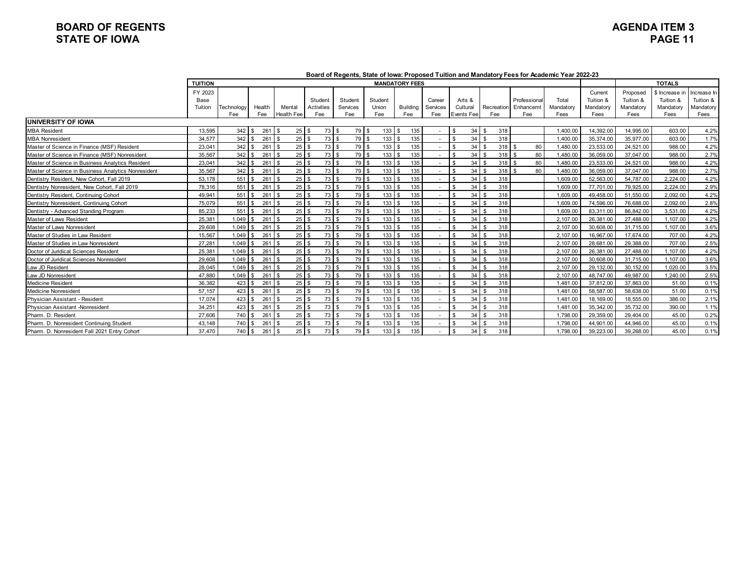## **BOARD OF REGENTS AGENDA ITEM 3 STATE OF IOWA**

|                                                     |                            |                   |               |                       |                              |                             |                         |                       |                           |                                  |                                | Board of Regents, State of Iowa: Proposed Tuition and Mandatory Fees for Academic Year 2022-23 |                            |                                           |                                            |                                                  |                                               |
|-----------------------------------------------------|----------------------------|-------------------|---------------|-----------------------|------------------------------|-----------------------------|-------------------------|-----------------------|---------------------------|----------------------------------|--------------------------------|------------------------------------------------------------------------------------------------|----------------------------|-------------------------------------------|--------------------------------------------|--------------------------------------------------|-----------------------------------------------|
|                                                     | <b>TUITION</b>             |                   |               |                       |                              |                             |                         | <b>MANDATORY FEES</b> |                           |                                  |                                |                                                                                                |                            |                                           |                                            | <b>TOTALS</b>                                    |                                               |
|                                                     | FY 2023<br>Base<br>Tuition | Technology<br>Fee | Health<br>Fee | Mental<br>Health Fee  | Student<br>Activities<br>Fee | Student<br>Services<br>Fee  | Student<br>Union<br>Fee | Building<br>Fee       | Career<br>Services<br>Fee | Arts &<br>Cultural<br>Events Fee | Recreation<br>Fee              | Professional<br>Enhancemt<br>Fee                                                               | Total<br>Mandatory<br>Fees | Current<br>Tuition &<br>Mandatory<br>Fees | Proposed<br>Tuition &<br>Mandatory<br>Fees | \$ Increase in<br>Tuition &<br>Mandatory<br>Fees | Increase In<br>Tuition &<br>Mandatory<br>Fees |
| <b>UNIVERSITY OF IOWA</b>                           |                            |                   |               |                       |                              |                             |                         |                       |                           |                                  |                                |                                                                                                |                            |                                           |                                            |                                                  |                                               |
| <b>MBA Resident</b>                                 | 13,595                     | $342 \mid$ \$     | 261           | $25 \quad$<br>-S      | 73 \$                        | 79 \$                       | 133                     | 135<br><b>S</b>       |                           | 34<br>\$.                        | 318<br>\$                      |                                                                                                | 1.400.00                   | 14,392.00                                 | 14,995.00                                  | 603.00                                           | 4.2%                                          |
| <b>MBA Nonresident</b>                              | 34.577                     |                   | 261           | 25 <sub>1</sub><br>£. | 73                           | $\mathbf{s}$<br>79 \$       | 133                     | 135<br>$\mathfrak{L}$ |                           | 34<br>$\mathbf{\hat{S}}$         | 318                            |                                                                                                | 1.400.00                   | 35.374.00                                 | 35.977.00                                  | 603.00                                           | 1.7%                                          |
| Master of Science in Finance (MSF) Resident         | 23,041                     | $342 \quad$ \$    | 261           | $25 \quad$            | 73S                          | 79 \$                       | 133                     | 135                   |                           | 34<br>- \$                       | 318                            | 80                                                                                             | 1,480.00                   | 23,533.00                                 | 24.521.00                                  | 988.00                                           | 4.2%                                          |
| Master of Science in Finance (MSF) Nonresident      | 35,567                     | 342S              | 261           | 25<br>-S              | 73S                          | 79 \$                       | 133                     | 135                   |                           | 34<br>-S                         | $318$ \$                       | 80                                                                                             | 1,480.00                   | 36,059.00                                 | 37.047.00                                  | 988.00                                           | 2.7%                                          |
| Master of Science in Business Analytics Resident    | 23,041                     | $342 \text{ s}$   | 261           | $25 \quad$<br>\$      | 73 \$                        | 79 \$                       | 133                     | 135<br>$\mathfrak{L}$ |                           | 34<br>$\mathbf{\hat{S}}$         | $318$ \$<br>\$                 | 80                                                                                             | 1,480.00                   | 23,533.00                                 | 24,521.00                                  | 988.00                                           | 4.2%                                          |
| Master of Science in Business Analytics Nonresident | 35.567                     | 342S              | 261           | 25                    | 73S                          | 79 \$                       | 133                     | 135                   |                           | 34<br>\$                         | $318$ $\overline{\phantom{1}}$ | 80                                                                                             | .480.00                    | 36.059.00                                 | 37.047.00                                  | 988.00                                           | 2.7%                                          |
| Dentistry Resident, New Cohort, Fall 2019           | 53,178                     | $551$ \ \$        | 261           | $25 \quad$ \$         | 73 \$                        | 79 \$                       | 133                     | 135                   |                           | 34<br>-S                         | 318<br>\$                      |                                                                                                | 1,609.00                   | 52,563.00                                 | 54,787.00                                  | 2.224.00                                         | 4.2%                                          |
| Dentistry Nonresident, New Cohort, Fall 2019        | 78.316                     | $551$ \ \$        | 261           | 25 <sup>1</sup>       | 73S                          | 79 \$                       | 133                     | 135<br>-96            |                           | 34<br>-S                         | 318                            |                                                                                                | 1.609.00                   | 77.701.00                                 | 79.925.00                                  | 2.224.00                                         | 2.9%                                          |
| Dentistry Resident, Continuing Cohort               | 49,941                     | 551               | 261           | 25                    | 73                           | 79 \$<br>\$                 | 133                     | 135<br>$\mathfrak{L}$ |                           | 34<br>\$                         | 318                            |                                                                                                | 1,609.00                   | 49,458.00                                 | 51,550.00                                  | 2,092.00                                         | 4.2%                                          |
| Dentistry Nonresident, Continuing Cohort            | 75,079                     | $551$ \ \$        | 261           | $25 \quad$            | 73S                          | 79 \$                       | 133                     | 135                   |                           | 34<br>$\mathbf{\hat{S}}$         | 318                            |                                                                                                | 1.609.00                   | 74.596.00                                 | 76.688.00                                  | 2.092.00                                         | 2.8%                                          |
| Dentistry - Advanced Standing Program               | 85,233                     | $551$ \ \$        | 261           | 25<br>-S              | 73S<br>\$.                   | 79 \$                       | 133                     | 135                   |                           | 34<br>$\mathbf{\hat{S}}$         | 318                            |                                                                                                | 1.609.00                   | 83.311.00                                 | 86.842.00                                  | 3.531.00                                         | 4.2%                                          |
| Master of Laws Resident                             | 25,381                     | $1.049$ \ \$      | 261           | 25                    | 73                           | 79 \$<br><b>S</b>           | 133                     | 135                   |                           | 34                               | 318                            |                                                                                                | 2.107.00                   | 26.381.00                                 | 27.488.00                                  | 1,107.00                                         | 4.2%                                          |
| Master of Laws Nonresident                          | 29,608                     | $1.049$ \ \$      | 261           | 25                    | 73                           | 79 \$<br>$\mathbf{\hat{S}}$ | 133                     | 135                   |                           | 34<br>£.                         | 318                            |                                                                                                | 2.107.00                   | 30.608.00                                 | 31.715.00                                  | 1.107.00                                         | 3.6%                                          |
| Master of Studies in Law Resident                   | 15,567                     | $1.049$ \$        | 261           | $25 \quad$            | 73 \$                        | 79 \$                       | 133                     | 135                   |                           | 34<br>$\mathfrak{L}$             | 318<br>\$                      |                                                                                                | 2,107.00                   | 16.967.00                                 | 17.674.00                                  | 707.00                                           | 4.2%                                          |
| Master of Studies in Law Nonresident                | 27,281                     | $1.049$ \ \$      | 261           | 25 <sup>1</sup>       | 73S                          | 79 \$                       | 133                     | 135<br>-\$            |                           | 34<br>-\$                        | 318                            |                                                                                                | 2.107.00                   | 28,681.00                                 | 29.388.00                                  | 707.00                                           | 2.5%                                          |
| Doctor of Juridical Sciences Resident               | 25,381                     | $1.049$ \ \$      | 261           | 25 <sub>1</sub><br>£. | 73                           | 79 \$<br>\$                 | 133                     | 135<br>ድ              |                           | 34<br>$\mathfrak{L}$             | 318                            |                                                                                                | 2.107.00                   | 26,381.00                                 | 27,488.00                                  | 1.107.00                                         | 4.2%                                          |
| Doctor of Juridical Sciences Nonresident            | 29.608                     | $1,049$ \$        | 261           | $25 \quad$            | 73S                          | 79 \$                       | 133                     | 135                   |                           | 34<br>$\mathfrak{L}$             | 318                            |                                                                                                | 2.107.00                   | 30,608.00                                 | 31.715.00                                  | 1,107.00                                         | 3.6%                                          |
| Law JD Resident                                     | 28.045                     | $1.049$ \ \$      | 261           | 25                    | 73                           | 79 \$<br>\$                 | 133                     | 135                   |                           | 34                               | 318                            |                                                                                                | 2.107.00                   | 29.132.00                                 | 30.152.00                                  | 1.020.00                                         | 3.5%                                          |
| Law JD Nonresident                                  | 47.880                     | $1,049$ \$        | 261           | $25 \quad$ \$         | 73 \$                        | 79 \$                       | 133                     | 135<br>£.             |                           | 34<br>$\mathbf{\hat{S}}$         | 318<br>\$                      |                                                                                                | 2.107.00                   | 48.747.00                                 | 49.987.00                                  | 1,240.00                                         | 2.5%                                          |
| <b>Medicine Resident</b>                            | 36.382                     | $423$ \$          | 261           | 25 <sup>1</sup>       | 73S                          | 79 \$                       | 133                     | 135                   |                           | 34                               | 318                            |                                                                                                | 1.481.00                   | 37.812.00                                 | 37.863.00                                  | 51.00                                            | 0.1%                                          |
| <b>Medicine Nonresident</b>                         | 57.157                     |                   | 261           | $25$ \ $\frac{1}{3}$  | 73S                          | 79 \$                       | 133                     | 135                   |                           | 34<br>$\mathfrak{L}$             | 318<br>\$                      |                                                                                                | 1.481.00                   | 58,587.00                                 | 58.638.00                                  | 51.00                                            | 0.1%                                          |
| Physician Assistant - Resident                      | 17.074                     | $423$ \$          | 261           | 25 <sup>1</sup>       | 73S                          | 79 \$                       | 133                     | 135                   |                           | 34<br>$\mathfrak{L}$             | 318                            |                                                                                                | 1.481.00                   | 18.169.00                                 | 18.555.00                                  | 386.00                                           | 2.1%                                          |
| Physician Assistant -Nonresident                    | 34.251                     |                   | 261           | 25 <sub>1</sub>       | 73                           | 79 \$<br>\$                 | 133                     | 135<br>£,             |                           | 34<br>£.                         | 318                            |                                                                                                | 1.481.00                   | 35,342.00                                 | 35.732.00                                  | 390.00                                           | 1.1%                                          |
| Pharm. D. Resident                                  | 27.606                     | 740 \$            | 261           | $25 \quad$            | 73                           | 79 \$<br>$\mathbf{\hat{S}}$ | 133                     | 135                   |                           | 34                               | 318                            |                                                                                                | 1,798.00                   | 29.359.00                                 | 29.404.00                                  | 45.00                                            | 0.2%                                          |
| Pharm. D. Nonresident Continuing Student            | 43.148                     | $740$ \ \$        | 261           | 25<br>-S              | 73S                          | 79 \$                       | 133                     | 135                   |                           | 34                               | 318<br>\$                      |                                                                                                | 1.798.00                   | 44.901.00                                 | 44.946.00                                  | 45.00                                            | 0.1%                                          |
| Pharm, D. Nonresident Fall 2021 Entry Cohort        | 37.470                     | $740$ \ \$        | 261           | 25 <sup>1</sup><br>\$ | 73 S<br>S.                   | 79 \$                       | 133                     | 135<br>$\mathbf{s}$   |                           | 34<br>-S                         | 318<br>\$                      |                                                                                                | 1.798.00                   | 39.223.00                                 | 39.268.00                                  | 45.00                                            | 0.1%                                          |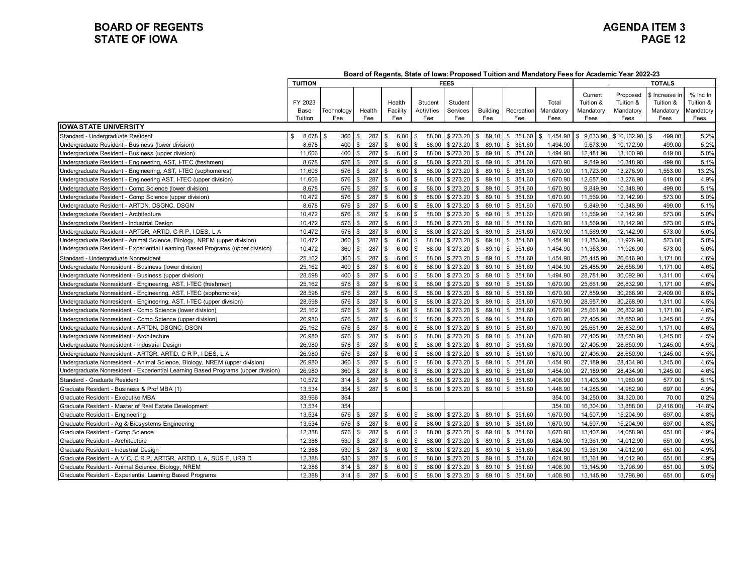## **BOARD OF REGENTS**<br> **BOARD OF REGENTS**<br> **BOARD OF IOWA**<br>
PAGE 12 **STATE OF IOWA**

|                                                                                   | <b>TUITION</b> | <b>FEES</b> |                    |     |                      |                |            | <b>TOTALS</b> |                       |                        |                |           |             |               |            |
|-----------------------------------------------------------------------------------|----------------|-------------|--------------------|-----|----------------------|----------------|------------|---------------|-----------------------|------------------------|----------------|-----------|-------------|---------------|------------|
|                                                                                   |                |             |                    |     |                      |                |            |               |                       |                        |                | Current   | Proposed    | s Increase ir | $%$ Inc In |
|                                                                                   | FY 2023        |             |                    |     | Health               |                | Student    | Student       |                       |                        | Total          | Tuition & | Tuition &   | Tuition &     | Tuition &  |
|                                                                                   | Base           | Technology  | Health             |     | Facility             |                | Activities | Services      | <b>Building</b>       | Recreation             | Mandatory      | Mandatory | Mandatory   | Mandatory     | Mandatory  |
|                                                                                   | Tuition        | Fee         | Fee                |     | Fee                  |                | Fee        | Fee           | Fee                   | Fee                    | Fees           | Fees      | Fees        | Fees          | Fees       |
| <b>IIOWA STATE UNIVERSITY</b>                                                     |                |             |                    |     |                      |                |            |               |                       |                        |                |           |             |               |            |
| Standard - Undergraduate Resident                                                 | 8,678<br>\$    | 360<br>-\$  |                    | 287 | 6.00                 |                | 88.00      | \$273.20      | 89.10<br>£.           | 351.60<br>\$           | \$<br>1,454.90 | 9,633.90  | \$10,132.90 | 499.00        | 5.2%       |
| Undergraduate Resident - Business (lower division)                                | 8,678          | 400         | \$                 | 287 | 6.00                 | \$             | 88.00      | \$273.20      | 89.10<br>\$           | 351.60<br>\$           | 1,494.90       | 9,673.90  | 10,172.90   | 499.00        | 5.2%       |
| Undergraduate Resident - Business (upper division)                                | 11,606         | 400         | £.                 | 287 | 6.00<br>$\mathbf{R}$ |                | 88.00      | \$273.20      | 89.10<br><b>S</b>     | 351.60<br>\$           | 1,494.90       | 12,481.90 | 13,100.90   | 619.00        | 5.0%       |
| Undergraduate Resident - Engineering, AST, I-TEC (freshmen)                       | 8.678          | 576         | $\mathbf{R}$       | 287 | 6.00                 |                | 88.00      | \$273.20      | 89.10<br>\$           | 351.60<br>\$           | 1,670.90       | 9.849.90  | 10.348.90   | 499.00        | 5.1%       |
| Undergraduate Resident - Engineering, AST, I-TEC (sophomores)                     | 11,606         | 576         |                    | 287 | 6.00                 |                | 88.00      | \$273.20      | 89.10<br>\$           | 351.60<br>\$           | 1,670.90       | 11,723.90 | 13,276.90   | 1,553.00      | 13.2%      |
| Undergraduate Resident - Engineering AST, I-TEC (upper division)                  | 11,606         | 576         | £.                 | 287 | 6.00                 |                | 88.00      | \$273.20      | 89.10<br>\$           | 351.60<br>\$           | 1,670.90       | 12,657.90 | 13,276.90   | 619.00        | 4.9%       |
| Undergraduate Resident - Comp Science (lower division)                            | 8,678          | 576         | £.                 | 287 | 6.00                 |                | 88.00      | \$273.20      | 89.10<br>\$           | 351.60<br>\$           | 1,670.90       | 9,849.90  | 10,348.90   | 499.00        | 5.1%       |
| Jndergraduate Resident - Comp Science (upper division)                            | 10.472         | 576         | $\mathbf{\hat{z}}$ | 287 | 6.00                 |                | 88.00      | \$273.20      | 89.10<br>\$           | $\mathbb{S}$<br>351.60 | 1,670.90       | 11,569.90 | 12.142.90   | 573.00        | 5.0%       |
| Undergraduate Resident - ARTDN, DSGNC, DSGN                                       | 8,678          | 576         | \$                 | 287 | 6.00                 |                | 88.00      | \$273.20      | 89.10<br>\$           | 351.60<br>\$           | 1,670.90       | 9,849.90  | 10,348.90   | 499.00        | 5.1%       |
| Undergraduate Resident - Architecture                                             | 10,472         | 576         | £.                 | 287 | 6.00                 | -C             | 88.00      | \$273.20      | 89.10<br>\$           | 351.60<br>\$           | 1,670.90       | 11,569.90 | 12,142.90   | 573.00        | 5.0%       |
| Undergraduate Resident - Industrial Design                                        | 10,472         | 576         |                    | 287 | 6.00                 |                | 88.00      | \$273.20      | 89.10<br>\$           | 351.60<br>\$           | 1,670.90       | 11,569.90 | 12,142.90   | 573.00        | 5.0%       |
| Jndergraduate Resident - ARTGR, ARTID, C R P, I DES, L A                          | 10.472         | 576         | £.                 | 287 | 6.00                 |                | 88.00      | \$273.20      | 89.10<br>\$           | \$<br>351.60           | 1.670.90       | 11,569.90 | 12.142.90   | 573.00        | 5.0%       |
| Jndergraduate Resident - Animal Science, Biology, NREM (upper division)           | 10.472         | 360         | -\$                | 287 | 6.00                 | \$             | 88.00      | \$273.20      | $\mathbf{s}$<br>89.10 | \$<br>351.60           | 1.454.90       | 11.353.90 | 11.926.90   | 573.00        | 5.0%       |
| Undergraduate Resident - Experiential Learning Based Programs (upper division)    | 10,472         | 360         |                    | 287 | 6.00                 |                | 88.00      | \$273.20      | 89.10<br>-\$          | 351.60<br>\$           | 1,454.90       | 11,353.90 | 11,926.90   | 573.00        | 5.0%       |
| Standard - Undergraduate Nonresident                                              | 25,162         | 360         | £.                 | 287 | 6.00                 |                | 88.00      | \$273.20      | 89.10<br>\$           | \$<br>351.60           | 1,454.90       | 25,445.90 | 26,616.90   | 1,171.00      | 4.6%       |
| Undergraduate Nonresident - Business (lower division)                             | 25,162         | 400         |                    | 287 | 6.00                 |                | 88.00      | \$273.20      | 89.10<br>\$           | \$<br>351.60           | 1.494.90       | 25,485.90 | 26,656.90   | 1.171.00      | 4.6%       |
| Undergraduate Nonresident - Business (upper division)                             | 28.598         | 400         | \$                 | 287 | 6.00                 |                | 88.00      | \$273.20      | 89.10<br>\$           | 351.60<br>\$.          | 1.494.90       | 28.781.90 | 30,092.90   | 1,311.00      | 4.6%       |
| Undergraduate Nonresident - Engineering, AST, I-TEC (freshmen)                    | 25,162         | 576         | \$                 | 287 | 6.00<br>l \$         |                | 88.00      | \$273.20      | 89.10<br>\$           | 351.60<br>\$           | 1,670.90       | 25,661.90 | 26,832.90   | 1,171.00      | 4.6%       |
| Jndergraduate Nonresident - Engineering, AST, I-TEC (sophomores)                  | 28,598         | 576         |                    | 287 | 6.00                 |                | 88.00      | \$273.20      | 89.10<br>\$           | 351.60<br>\$           | 1,670.90       | 27,859.90 | 30,268.90   | 2,409.00      | 8.6%       |
| Undergraduate Nonresident - Engineering, AST, I-TEC (upper division)              | 28,598         | 576         |                    | 287 | 6.00                 |                | 88.00      | \$273.20      | 89.10<br>\$           | \$<br>351.60           | 1,670.90       | 28,957.90 | 30,268.90   | 1.311.00      | 4.5%       |
| Jndergraduate Nonresident - Comp Science (lower division)                         | 25,162         | 576         | \$                 | 287 | 6.00<br>\$           | \$             | 88.00      | \$273.20      | 89.10<br>\$           | 351.60<br>\$           | 1,670.90       | 25,661.90 | 26,832.90   | 1,171.00      | 4.6%       |
| Undergraduate Nonresident - Comp Science (upper division)                         | 26.980         | 576         | . ጽ                | 287 | 6.00<br><b>S</b>     | \$             | 88.00      | \$273.20      | 89.10<br>\$           | \$351.60               | 1,670.90       | 27.405.90 | 28.650.90   | 1.245.00      | 4.5%       |
| Jndergraduate Nonresident - ARTDN, DSGNC, DSGN                                    | 25,162         | 576         |                    | 287 | 6.00                 |                | 88.00      | \$273.20      | 89.10<br>\$           | \$<br>351.60           | 1,670.90       | 25,661.90 | 26,832.90   | 1.171.00      | 4.6%       |
| Undergraduate Nonresident - Architecture                                          | 26,980         | 576         | \$                 | 287 | 6.00<br>-\$          | \$             | 88.00      | \$273.20      | 89.10<br>$\mathbf{s}$ | \$<br>351.60           | 1,670.90       | 27,405.90 | 28,650.90   | 1,245.00      | 4.5%       |
| Undergraduate Nonresident - Industrial Design                                     | 26.980         | 576         |                    | 287 | 6.00                 |                | 88.00      | \$273.20      | 89.10<br>\$           | 351.60<br>\$           | 1,670.90       | 27.405.90 | 28.650.90   | 1.245.00      | 4.5%       |
| Undergraduate Nonresident - ARTGR, ARTID, C R P. I DES. L A                       | 26.980         | 576         | \$                 | 287 | 6.00<br><b>S</b>     | \$             | 88.00      | \$273.20      | 89.10<br>$\mathbf{s}$ | \$ 351.60              | 1,670.90       | 27.405.90 | 28.650.90   | 1.245.00      | 4.5%       |
| Undergraduate Nonresident - Animal Science, Biology, NREM (upper division)        | 26,980         | 360         | £.                 | 287 | 6.00                 |                | 88.00      | \$273.20      | 89.10<br>\$           | \$<br>351.60           | 1,454.90       | 27,189.90 | 28,434.90   | 1,245.00      | 4.6%       |
| Undergraduate Nonresident - Experiential Learning Based Programs (upper division) | 26,980         | 360         | -\$                | 287 | 6.00                 |                | 88.00      | \$273.20      | 89.10<br>\$           | 351.60<br>\$           | 1,454.90       | 27,189.90 | 28.434.90   | 1,245.00      | 4.6%       |
| Standard - Graduate Resident                                                      | 10,572         | 314         | \$                 | 287 | 6.00<br>l \$         | \$             | 88.00      | \$273.20      | 89.10<br>\$           | \$<br>351.60           | 1,408.90       | 11,403.90 | 11,980.90   | 577.00        | 5.1%       |
| Graduate Resident - Business & Prof MBA (1)                                       | 13.534         | 354         |                    | 287 | 6.00<br>. ድ          | $\mathfrak{L}$ | 88.00      | \$273.20      | 89.10<br>$\mathbf{s}$ | $\mathbb{S}$<br>351.60 | 1.448.90       | 14.285.90 | 14.982.90   | 697.00        | 4.9%       |
| Graduate Resident - Executive MBA                                                 | 33,966         | 354         |                    |     |                      |                |            |               |                       |                        | 354.00         | 34,250.00 | 34,320.00   | 70.00         | 0.2%       |
| Graduate Resident - Master of Real Estate Development                             | 13,534         | 354         |                    |     |                      |                |            |               |                       |                        | 354.00         | 16,304.00 | 13,888.00   | (2, 416.00)   | $-14.8%$   |
| Graduate Resident - Engineering                                                   | 13,534         | 576         | \$                 | 287 | 6.00<br>l \$         | Я.             | 88.00      | \$273.20      | 89.10<br><b>S</b>     | \$351.60               | 1,670.90       | 14,507.90 | 15,204.90   | 697.00        | 4.8%       |
| Graduate Resident - Aq & Biosystems Engineering                                   | 13.534         | 576         |                    | 287 | 6.00                 |                | 88.00      | \$273.20      | 89.10<br>\$           | $\mathbf{s}$<br>351.60 | 1.670.90       | 14.507.90 | 15.204.90   | 697.00        | 4.8%       |
| Graduate Resident - Comp Science                                                  | 12,388         | 576         | \$                 | 287 | 6.00<br>\$           | \$             | 88.00      | \$273.20      | $\sqrt{3}$<br>89.10   | \$351.60               | 1,670.90       | 13,407.90 | 14,058.90   | 651.00        | 4.9%       |
| Graduate Resident - Architecture                                                  | 12,388         | 530         | .ኖ                 | 287 | 6.00                 | \$             | 88.00      | \$273.20      | 89.10<br>-\$          | 351.60<br>\$           | 1,624.90       | 13,361.90 | 14,012.90   | 651.00        | 4.9%       |
| Graduate Resident - Industrial Design                                             | 12,388         | 530         | $\mathbf{s}$       | 287 | 6.00<br>l \$         | £.             | 88.00      | \$273.20      | 89.10<br>\$           | \$351.60               | 1,624.90       | 13,361.90 | 14,012.90   | 651.00        | 4.9%       |
| Graduate Resident - A V C, C R P, ARTGR, ARTID, L A, SUS E, URB D                 | 12,388         | 530         |                    | 287 | 6.00                 |                | 88.00      | \$273.20      | 89.10<br>\$           | 351.60<br>$\mathbf{s}$ | 1,624.90       | 13,361.90 | 14.012.90   | 651.00        | 4.9%       |
| Graduate Resident - Animal Science, Biology, NREM                                 | 12,388         | 314         | \$                 | 287 | 6.00<br>-\$          | \$             | 88.00      | \$273.20      | 89.10<br><b>\$</b>    | \$351.60               | 1,408.90       | 13,145.90 | 13,796.90   | 651.00        | 5.0%       |
| Graduate Resident - Experiential Learning Based Programs                          | 12,388         | 314         | \$                 | 287 | 6.00<br>l \$         | \$             | 88.00      | \$273.20      | 89.10<br>$\sqrt{3}$   | 351.60<br>\$           | 1,408.90       | 13,145.90 | 13,796.90   | 651.00        | 5.0%       |

**Board of Regents, State of Iowa: Proposed Tuition and Mandatory Fees for Academic Year 2022-23**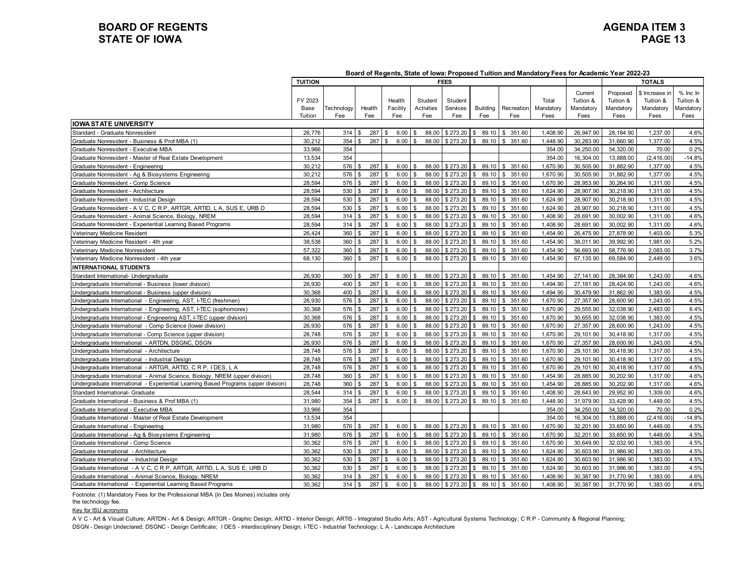## **BOARD OF REGENTS**<br> **BOARD OF REGENTS**<br> **BOARD OF IOWA**<br> **BOARD OF IOWA STATE OF IOWA**

|                                                                                     | <b>TUITION</b>             | <b>FEES</b>       |                  |                |                           |               |                              |                            |                        | TOTALS                   |                            |                                           |                                            |                                                 |                                            |
|-------------------------------------------------------------------------------------|----------------------------|-------------------|------------------|----------------|---------------------------|---------------|------------------------------|----------------------------|------------------------|--------------------------|----------------------------|-------------------------------------------|--------------------------------------------|-------------------------------------------------|--------------------------------------------|
|                                                                                     | FY 2023<br>Base<br>Tuition | Technology<br>Fee | Health<br>Fee    |                | Health<br>Facility<br>Fee |               | Student<br>Activities<br>Fee | Student<br>Services<br>Fee | <b>Building</b><br>Fee | <b>Recreation</b><br>Fee | Total<br>Mandatory<br>Fees | Current<br>Tuition &<br>Mandatory<br>Fees | Proposed<br>Tuition &<br>Mandatory<br>Fees | ჽ Increase ir<br>Tuition &<br>Mandatory<br>Fees | % Inc In<br>Tuition &<br>Mandatory<br>Fees |
| <b>IOWA STATE UNIVERSITY</b>                                                        |                            |                   |                  |                |                           |               |                              |                            |                        |                          |                            |                                           |                                            |                                                 |                                            |
| Standard - Graduate Nonresident                                                     | 26,776                     | 314               | 287<br><b>.S</b> | - \$           | 6.00                      |               | 88.00                        | \$273.20                   | 89.10                  | 351.60<br>S.             | 1,408.90                   | 26,947.90                                 | 28,184.90                                  | 1,237.00                                        | 4.6%                                       |
| Graduate Nonresident - Business & Prof MBA (1)                                      | 30,212                     | 354               | 287              | £.             | 6.00                      |               | 88.00                        | \$273.20                   | 89.10                  | 351.60<br>\$             | 1,448.90                   | 30,283.90                                 | 31,660.90                                  | 1,377.00                                        | 4.5%                                       |
| Graduate Nonresident - Executive MBA                                                | 33,966                     | 354               |                  |                |                           |               |                              |                            |                        |                          | 354.00                     | 34,250.00                                 | 34,320.00                                  | 70.00                                           | 0.2%                                       |
| Graduate Nonresident - Master of Real Estate Development                            | 13,534                     | 354               |                  |                |                           |               |                              |                            |                        |                          | 354.00                     | 16,304.00                                 | 13,888.00                                  | (2, 416.00)                                     | $-14.8%$                                   |
| Graduate Nonresident - Engineering                                                  | 30.212                     | 576               | 287<br>-S        | \$             | 6.00                      |               | 88.00                        | \$273.20                   | 89.10<br>\$            | \$ 351.60                | 1.670.90                   | 30.505.90                                 | 31.882.90                                  | 1.377.00                                        | 4.5%                                       |
| Graduate Nonresident - Ag & Biosystems Engineering                                  | 30,212                     | 576               | 287<br>£.        | $\mathbf{s}$   | 6.00                      |               | 88.00                        | \$273.20                   | 89.10<br>\$            | \$351.60                 | 1.670.90                   | 30,505.90                                 | 31,882.90                                  | 1.377.00                                        | 4.5%                                       |
| Graduate Nonresident - Comp Science                                                 | 28,594                     | 576               | 287<br>£.        |                | 6.00                      |               | 88.00                        | \$273.20                   | 89.10<br>\$            | \$351.60                 | 1.670.90                   | 28,953.90                                 | 30,264.90                                  | 1.311.00                                        | 4.5%                                       |
| Graduate Nonresident - Architecture                                                 | 28,594                     | 530               | 287              |                | 6.00                      |               | 88.00                        | \$273.20                   | 89.10                  | \$351.60                 | 1,624.90                   | 28,907.90                                 | 30,218.90                                  | 1,311.00                                        | 4.5%                                       |
| Graduate Nonresident - Industrial Design                                            | 28,594                     | 530               | 287<br>£.        |                | 6.00                      |               | 88.00                        | \$273.20                   | 89.10<br>\$.           | \$351.60                 | 1,624.90                   | 28,907.90                                 | 30,218.90                                  | 1,311.00                                        | 4.5%                                       |
| Graduate Nonresident - A V C, C R P, ARTGR, ARTID, L A, SUS E, URB D                | 28,594                     | 530               | 287              |                | 6.00                      |               | 88.00                        | \$273.20                   | 89.10                  | \$351.60                 | 1,624.90                   | 28,907.90                                 | 30,218.90                                  | 1,311.00                                        | 4.5%                                       |
| Graduate Nonresident - Animal Science, Biology, NREM                                | 28,594                     | 314               | 287<br>-S        |                | 6.00                      |               | 88.00                        | \$273.20                   | 89.10                  | \$351.60                 | 1,408.90                   | 28,691.90                                 | 30,002.90                                  | 1,311.00                                        | 4.6%                                       |
| Graduate Nonresident - Experiential Learning Based Programs                         | 28,594                     | 314               | 287<br>\$        | -S             | 6.00                      |               | 88.00                        | \$273.20                   | 89.10<br>- \$          | \$351.60                 | 1,408.90                   | 28,691.90                                 | 30,002.90                                  | 1,311.00                                        | 4.6%                                       |
| Veterinary Medicine Resident                                                        | 26.424                     | 360               | 287<br>\$        |                | 6.00                      |               | 88.00                        | \$273.20                   | 89.10<br>-S            | \$351.60                 | 1.454.90                   | 26,475.90                                 | 27.878.90                                  | 1.403.00                                        | 5.3%                                       |
| Veterinary Medicine Resident - 4th year                                             | 38.538                     | 360               | 287<br>£,        |                | 6.00                      |               | 88.00                        | \$273.20                   | 89.10                  | 351.60<br>\$             | 1.454.90                   | 38.011.90                                 | 39.992.90                                  | 1.981.00                                        | 5.2%                                       |
| Veterinary Medicine Nonresident                                                     | 57,322                     | 360               | 287<br>£.        | £.             | 6.00                      |               | 88.00                        | \$273.20                   | 89.10                  | \$351.60                 | 1,454.90                   | 56,693.90                                 | 58,776.90                                  | 2,083.00                                        | 3.7%                                       |
| Veterinary Medicine Nonresident - 4th year                                          | 68,130                     | 360               | 287<br>-S        |                | 6.00                      |               | 88.00                        | \$273.20                   | 89.10                  | \$351.60                 | 1,454.90                   | 67,135.90                                 | 69,584.90                                  | 2,449.00                                        | 3.6%                                       |
| <b>INTERNATIONAL STUDENTS</b>                                                       |                            |                   |                  |                |                           |               |                              |                            |                        |                          |                            |                                           |                                            |                                                 |                                            |
| Standard International- Undergraduate                                               | 26,930                     | 360               | 287<br>\$        |                | 6.00                      |               | 88.00                        | \$273.20                   | 89.10                  | \$351.60                 | 1,454.90                   | 27,141.90                                 | 28,384.90                                  | 1,243.00                                        | 4.6%                                       |
| Undergraduate International - Business (lower division)                             | 26,930                     | 400               | 287              |                | 6.00                      |               | 88.00                        | \$273.20                   | 89.10                  | \$ 351.60                | 1,494.90                   | 27,181.90                                 | 28,424.90                                  | 1,243.00                                        | 4.6%                                       |
| Undergraduate International - Business (upper division)                             | 30,368                     | 400               | 287<br>\$        |                | 6.00                      |               | 88.00                        | \$273.20                   | 89.10<br>\$            | \$351.60                 | 1,494.90                   | 30,479.90                                 | 31,862.90                                  | 1,383.00                                        | 4.5%                                       |
| Undergraduate International - Engineering, AST, I-TEC (freshmen)                    | 26.930                     | 576               | 287<br>£.        |                | 6.00                      |               | 88.00                        | \$273.20                   | 89.10                  | \$351.60                 | 1,670.90                   | 27,357.90                                 | 28,600.90                                  | 1.243.00                                        | 4.5%                                       |
| Undergraduate International - Engineering, AST, I-TEC (sophomores)                  | 30,368                     | 576               | 287<br>-S        | £.             | 6.00                      |               | 88.00                        | \$273.20                   | 89.10<br>S.            | \$351.60                 | 1,670.90                   | 29,555.90                                 | 32,038.90                                  | 2,483.00                                        | 8.4%                                       |
| Undergraduate International - Engineering AST, I-TEC (upper division)               | 30.368                     | 576               | 287<br>£.        | £.             | 6.00                      |               | 88.00                        | \$273.20                   | 89.10<br>-S            | \$351.60                 | 1,670.90                   | 30,655.90                                 | 32.038.90                                  | 1.383.00                                        | 4.5%                                       |
| Jndergraduate International - Comp Science (lower division)                         | 26,930                     | 576               | 287<br>£.        | \$             | 6.00                      |               | 88.00                        | \$273.20                   | 89.10<br>-S            | \$351.60                 | 1,670.90                   | 27,357.90                                 | 28,600.90                                  | 1,243.00                                        | 4.5%                                       |
| Undergraduate International - Comp Science (upper division)                         | 28,748                     | 576               | 287<br>\$.       |                | 6.00                      |               | 88.00                        | \$273.20                   | 89.10                  | 351.60<br>\$             | 1,670.90                   | 29,101.90                                 | 30,418.90                                  | 1,317.00                                        | 4.5%                                       |
| Undergraduate International - ARTDN, DSGNC, DSGN                                    | 26,930                     | 576               | 287<br>\$        | £.             | 6.00                      | ٩             | 88.00                        | \$273.20                   | 89.10<br>\$.           | \$351.60                 | 1,670.90                   | 27,357.90                                 | 28,600.90                                  | 1,243.00                                        | 4.5%                                       |
| Undergraduate International - Architecture                                          | 28,748                     | 576               | 287<br>ς.        | £.             | 6.00                      |               | 88.00                        | \$273.20                   | 89.10                  | 351.60<br>\$             | 1,670.90                   | 29,101.90                                 | 30,418.90                                  | 1,317.00                                        | 4.5%                                       |
| Undergraduate International - Industrial Design                                     | 28,748                     | 576               | 287<br>\$.       |                | 6.00                      |               | 88.00                        | \$273.20                   | 89.10                  | \$351.60                 | 1,670.90                   | 29,101.90                                 | 30,418.90                                  | 1,317.00                                        | 4.5%                                       |
| Undergraduate International - ARTGR, ARTID, C R P, I DES, L A                       | 28,748                     | 576               | 287              |                | 6.00                      |               | 88.00                        | \$273.20                   | 89.10                  | \$351.60                 | 1,670.90                   | 29,101.90                                 | 30,418.90                                  | 1,317.00                                        | 4.5%                                       |
| Undergraduate International - Animal Science, Biology, NREM (upper division)        | 28.748                     | 360               | 287              |                | 6.00                      |               | 88.00                        | \$273.20                   | 89.10<br>ድ             | \$351.60                 | 1.454.90                   | 28.885.90                                 | 30.202.90                                  | 1.317.00                                        | 4.6%                                       |
| Undergraduate International - Experiential Learning Based Programs (upper division) | 28,748                     | 360               | 287              |                | 6.00                      |               | 88.00                        | \$273.20                   | 89.10<br>-S            | 351.60<br>\$             | 1,454.90                   | 28,885.90                                 | 30,202.90                                  | 1,317.00                                        | 4.6%                                       |
| Standard International- Graduate                                                    | 28,544                     | 314               | 287              |                | 6.00                      |               | 88.00                        | \$273.20                   | 89.10                  | \$351.60                 | 1,408.90                   | 28,643.90                                 | 29,952.90                                  | 1,309.00                                        | 4.6%                                       |
| Graduate International - Business & Prof MBA (1)                                    | 31,980                     | 354               | 287<br>£.        | -S             | 6.00                      | \$            | 88.00                        | \$273.20                   | \$<br>89.10            | \$351.60                 | 1,448.90                   | 31,979.90                                 | 33,428.90                                  | 1,449.00                                        | 4.5%                                       |
| Graduate International - Executive MBA                                              | 33,966                     | 354               |                  |                |                           |               |                              |                            |                        |                          | 354.00                     | 34,250.00                                 | 34,320.00                                  | 70.00                                           | 0.2%                                       |
| Graduate International - Master of Real Estate Development                          | 13,534                     | 354               |                  |                |                           |               |                              |                            |                        |                          | 354.00                     | 16,304.00                                 | 13,888.00                                  | (2, 416.00)                                     | $-14.8%$                                   |
| Graduate International - Engineering                                                | 31,980                     | 576               | 287<br>-S        | \$             | 6.00                      |               | 88.00                        | \$273.20                   |                        | 89.10 \$ 351.60          | 1,670.90                   | 32,201.90                                 | 33,650.90                                  | 1,449.00                                        | 4.5%                                       |
| Graduate International - Ag & Biosystems Engineering                                | 31.980                     | 576               | 287<br>£.        | $\mathfrak{L}$ | 6.00                      |               | 88.00                        | \$273.20                   | 89.10<br>-S            | \$351.60                 | 1,670.90                   | 32.201.90                                 | 33.650.90                                  | 1.449.00                                        | 4.5%                                       |
| Graduate International - Comp Science                                               | 30.362                     | 576               | 287<br><b>.S</b> | \$             | 6.00                      |               | 88.00                        | \$273.20                   | 89.10<br>-S            | \$351.60                 | 1,670.90                   | 30.649.90                                 | 32.032.90                                  | 1.383.00                                        | 4.5%                                       |
| Graduate International - Architecture                                               | 30,362                     | 530               | 287<br>\$        | \$             | 6.00                      |               | 88.00                        | \$273.20                   | 89.10<br>\$            | \$351.60                 | 1,624.90                   | 30,603.90                                 | 31,986.90                                  | 1,383.00                                        | 4.5%                                       |
| Graduate International - Industrial Design                                          | 30,362                     | 530               | 287<br>£.        |                | 6.00                      |               | 88.00                        | \$273.20                   | 89.10<br>. ጽ           | 351.60<br>\$             | 1,624.90                   | 30,603.90                                 | 31,986.90                                  | 1,383.00                                        | 4.5%                                       |
| Graduate International - A V C, C R P, ARTGR, ARTID, L A, SUS E, URB D              | 30,362                     | 530               | 287<br>\$        | £.             | 6.00                      | \$            | 88.00                        | \$273.20                   | 89.10<br>\$.           | \$351.60                 | 1,624.90                   | 30,603.90                                 | 31,986.90                                  | 1,383.00                                        | 4.5%                                       |
| Graduate International - Animal Science, Biology, NREM                              | 30,362                     | 314               | 287<br>£.        |                | 6.00                      |               | 88.00                        | \$273.20                   | 89.10<br>\$            | \$351.60                 | 1,408.90                   | 30,387.90                                 | 31,770.90                                  | 1,383.00                                        | 4.6%                                       |
| Graduate International - Experiential Learning Based Programs                       | 30,362                     | 314               | 287<br><b>S</b>  | <b>S</b>       | 6.00                      | $\mathbf{\$}$ | 88.00                        | \$273.20                   | 89.10<br>l \$          | \$351.60                 | 1,408.90                   | 30,387.90                                 | 31,770.90                                  | 1,383.00                                        | 4.6%                                       |

#### **Board of Regents, State of Iowa: Proposed Tuition and Mandatory Fees for Academic Year 2022-23**

Footnote: (1) Mandatory Fees for the Professional MBA (in Des Moines) includes only

the technology fee.

#### Key for ISU acronyms

A V C - Art & Visual Culture; ARTDN - Art & Design; ARTGR - Graphic Design; ARTID - Interior Design; ARTIS - Integrated Studio Arts; AST - Agricultural Systems Technology; C R P - Community & Regional Planning;

DSGN - Design Undeclared; DSGNC - Design Certificate; I DES - Interdisciplinary Design; I-TEC - Industrial Technology; L A - Landscape Architecture